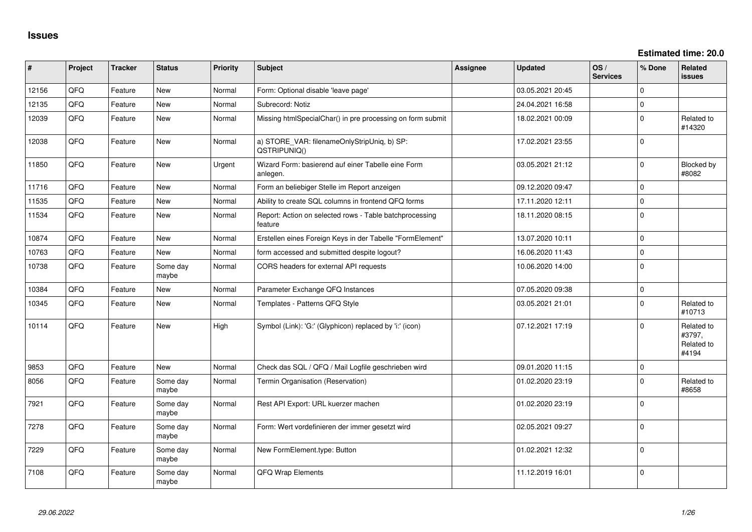**Estimated time: 20.0**

| #     | Project | <b>Tracker</b> | <b>Status</b>     | <b>Priority</b> | <b>Subject</b>                                                     | <b>Assignee</b> | <b>Updated</b>   | OS/<br><b>Services</b> | % Done         | <b>Related</b><br><b>issues</b>             |
|-------|---------|----------------|-------------------|-----------------|--------------------------------------------------------------------|-----------------|------------------|------------------------|----------------|---------------------------------------------|
| 12156 | QFQ     | Feature        | New               | Normal          | Form: Optional disable 'leave page'                                |                 | 03.05.2021 20:45 |                        | $\mathbf 0$    |                                             |
| 12135 | QFQ     | Feature        | <b>New</b>        | Normal          | Subrecord: Notiz                                                   |                 | 24.04.2021 16:58 |                        | $\mathbf 0$    |                                             |
| 12039 | QFQ     | Feature        | <b>New</b>        | Normal          | Missing htmlSpecialChar() in pre processing on form submit         |                 | 18.02.2021 00:09 |                        | $\mathbf{0}$   | Related to<br>#14320                        |
| 12038 | QFQ     | Feature        | <b>New</b>        | Normal          | a) STORE_VAR: filenameOnlyStripUniq, b) SP:<br>QSTRIPUNIQ()        |                 | 17.02.2021 23:55 |                        | $\mathbf{0}$   |                                             |
| 11850 | QFQ     | Feature        | New               | Urgent          | Wizard Form: basierend auf einer Tabelle eine Form<br>anlegen.     |                 | 03.05.2021 21:12 |                        | $\mathbf{0}$   | Blocked by<br>#8082                         |
| 11716 | QFQ     | Feature        | New               | Normal          | Form an beliebiger Stelle im Report anzeigen                       |                 | 09.12.2020 09:47 |                        | $\mathbf{0}$   |                                             |
| 11535 | QFQ     | Feature        | <b>New</b>        | Normal          | Ability to create SQL columns in frontend QFQ forms                |                 | 17.11.2020 12:11 |                        | $\pmb{0}$      |                                             |
| 11534 | QFQ     | Feature        | <b>New</b>        | Normal          | Report: Action on selected rows - Table batchprocessing<br>feature |                 | 18.11.2020 08:15 |                        | $\overline{0}$ |                                             |
| 10874 | QFQ     | Feature        | New               | Normal          | Erstellen eines Foreign Keys in der Tabelle "FormElement"          |                 | 13.07.2020 10:11 |                        | $\mathbf{0}$   |                                             |
| 10763 | QFQ     | Feature        | <b>New</b>        | Normal          | form accessed and submitted despite logout?                        |                 | 16.06.2020 11:43 |                        | $\mathbf 0$    |                                             |
| 10738 | QFQ     | Feature        | Some day<br>maybe | Normal          | CORS headers for external API requests                             |                 | 10.06.2020 14:00 |                        | $\mathbf{0}$   |                                             |
| 10384 | QFQ     | Feature        | New               | Normal          | Parameter Exchange QFQ Instances                                   |                 | 07.05.2020 09:38 |                        | $\mathbf 0$    |                                             |
| 10345 | QFQ     | Feature        | New               | Normal          | Templates - Patterns QFQ Style                                     |                 | 03.05.2021 21:01 |                        | $\mathbf 0$    | Related to<br>#10713                        |
| 10114 | QFQ     | Feature        | <b>New</b>        | High            | Symbol (Link): 'G:' (Glyphicon) replaced by 'i:' (icon)            |                 | 07.12.2021 17:19 |                        | $\mathbf{0}$   | Related to<br>#3797,<br>Related to<br>#4194 |
| 9853  | QFQ     | Feature        | <b>New</b>        | Normal          | Check das SQL / QFQ / Mail Logfile geschrieben wird                |                 | 09.01.2020 11:15 |                        | $\mathbf 0$    |                                             |
| 8056  | QFQ     | Feature        | Some day<br>maybe | Normal          | Termin Organisation (Reservation)                                  |                 | 01.02.2020 23:19 |                        | $\mathbf{0}$   | Related to<br>#8658                         |
| 7921  | QFQ     | Feature        | Some day<br>maybe | Normal          | Rest API Export: URL kuerzer machen                                |                 | 01.02.2020 23:19 |                        | $\mathbf{0}$   |                                             |
| 7278  | QFQ     | Feature        | Some day<br>maybe | Normal          | Form: Wert vordefinieren der immer gesetzt wird                    |                 | 02.05.2021 09:27 |                        | $\mathbf{0}$   |                                             |
| 7229  | QFQ     | Feature        | Some day<br>maybe | Normal          | New FormElement.type: Button                                       |                 | 01.02.2021 12:32 |                        | $\mathbf{0}$   |                                             |
| 7108  | QFQ     | Feature        | Some day<br>maybe | Normal          | QFQ Wrap Elements                                                  |                 | 11.12.2019 16:01 |                        | $\mathbf{0}$   |                                             |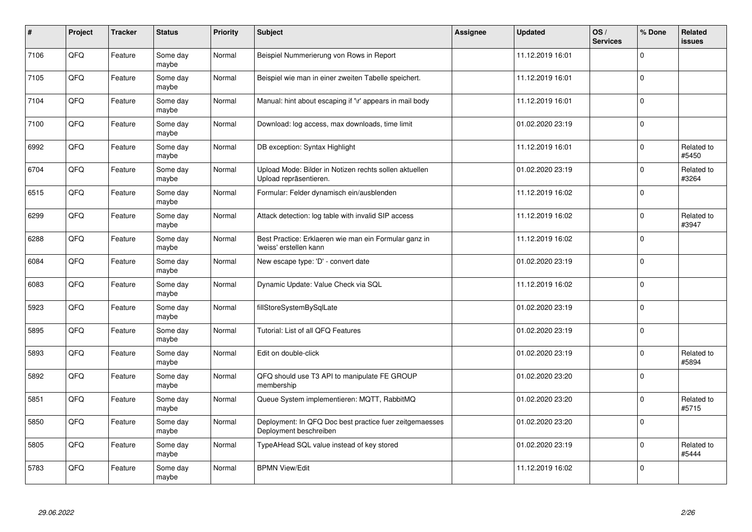| $\vert$ # | Project | <b>Tracker</b> | <b>Status</b>     | Priority | <b>Subject</b>                                                                    | Assignee | <b>Updated</b>   | OS/<br><b>Services</b> | % Done       | Related<br><b>issues</b> |
|-----------|---------|----------------|-------------------|----------|-----------------------------------------------------------------------------------|----------|------------------|------------------------|--------------|--------------------------|
| 7106      | QFQ     | Feature        | Some day<br>maybe | Normal   | Beispiel Nummerierung von Rows in Report                                          |          | 11.12.2019 16:01 |                        | $\Omega$     |                          |
| 7105      | QFQ     | Feature        | Some day<br>maybe | Normal   | Beispiel wie man in einer zweiten Tabelle speichert.                              |          | 11.12.2019 16:01 |                        | $\mathbf{0}$ |                          |
| 7104      | QFQ     | Feature        | Some day<br>maybe | Normal   | Manual: hint about escaping if '\r' appears in mail body                          |          | 11.12.2019 16:01 |                        | $\mathbf 0$  |                          |
| 7100      | QFQ     | Feature        | Some day<br>maybe | Normal   | Download: log access, max downloads, time limit                                   |          | 01.02.2020 23:19 |                        | $\Omega$     |                          |
| 6992      | QFQ     | Feature        | Some day<br>maybe | Normal   | DB exception: Syntax Highlight                                                    |          | 11.12.2019 16:01 |                        | $\mathbf 0$  | Related to<br>#5450      |
| 6704      | QFQ     | Feature        | Some day<br>maybe | Normal   | Upload Mode: Bilder in Notizen rechts sollen aktuellen<br>Upload repräsentieren.  |          | 01.02.2020 23:19 |                        | $\Omega$     | Related to<br>#3264      |
| 6515      | QFQ     | Feature        | Some day<br>maybe | Normal   | Formular: Felder dynamisch ein/ausblenden                                         |          | 11.12.2019 16:02 |                        | $\mathbf 0$  |                          |
| 6299      | QFQ     | Feature        | Some day<br>maybe | Normal   | Attack detection: log table with invalid SIP access                               |          | 11.12.2019 16:02 |                        | $\Omega$     | Related to<br>#3947      |
| 6288      | QFQ     | Feature        | Some day<br>maybe | Normal   | Best Practice: Erklaeren wie man ein Formular ganz in<br>'weiss' erstellen kann   |          | 11.12.2019 16:02 |                        | $\Omega$     |                          |
| 6084      | QFQ     | Feature        | Some day<br>maybe | Normal   | New escape type: 'D' - convert date                                               |          | 01.02.2020 23:19 |                        | $\mathbf 0$  |                          |
| 6083      | QFQ     | Feature        | Some day<br>maybe | Normal   | Dynamic Update: Value Check via SQL                                               |          | 11.12.2019 16:02 |                        | $\mathbf 0$  |                          |
| 5923      | QFQ     | Feature        | Some day<br>maybe | Normal   | fillStoreSystemBySqlLate                                                          |          | 01.02.2020 23:19 |                        | $\mathbf 0$  |                          |
| 5895      | QFQ     | Feature        | Some day<br>maybe | Normal   | Tutorial: List of all QFQ Features                                                |          | 01.02.2020 23:19 |                        | $\mathbf 0$  |                          |
| 5893      | QFQ     | Feature        | Some day<br>maybe | Normal   | Edit on double-click                                                              |          | 01.02.2020 23:19 |                        | $\mathbf 0$  | Related to<br>#5894      |
| 5892      | QFQ     | Feature        | Some day<br>maybe | Normal   | QFQ should use T3 API to manipulate FE GROUP<br>membership                        |          | 01.02.2020 23:20 |                        | $\Omega$     |                          |
| 5851      | QFQ     | Feature        | Some day<br>maybe | Normal   | Queue System implementieren: MQTT, RabbitMQ                                       |          | 01.02.2020 23:20 |                        | $\mathbf{0}$ | Related to<br>#5715      |
| 5850      | QFQ     | Feature        | Some day<br>maybe | Normal   | Deployment: In QFQ Doc best practice fuer zeitgemaesses<br>Deployment beschreiben |          | 01.02.2020 23:20 |                        | $\mathbf 0$  |                          |
| 5805      | QFQ     | Feature        | Some day<br>maybe | Normal   | TypeAHead SQL value instead of key stored                                         |          | 01.02.2020 23:19 |                        | $\mathbf 0$  | Related to<br>#5444      |
| 5783      | QFQ     | Feature        | Some day<br>maybe | Normal   | <b>BPMN View/Edit</b>                                                             |          | 11.12.2019 16:02 |                        | $\Omega$     |                          |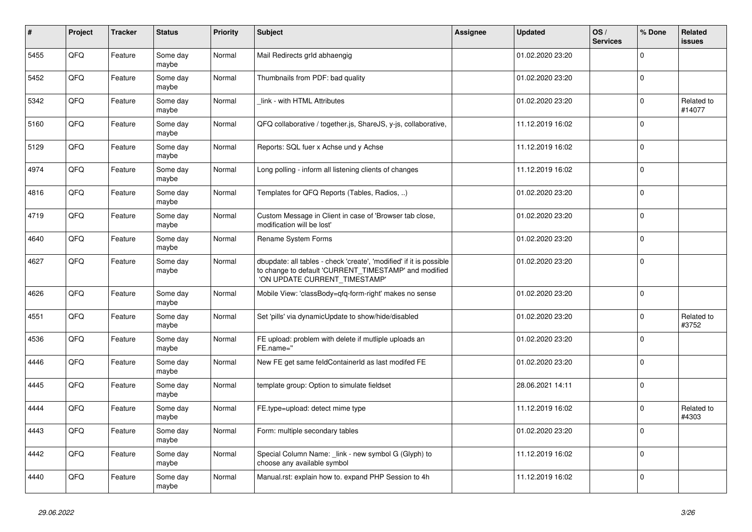| $\pmb{\#}$ | Project | <b>Tracker</b> | <b>Status</b>     | <b>Priority</b> | <b>Subject</b>                                                                                                                                                | Assignee | <b>Updated</b>   | OS/<br><b>Services</b> | % Done         | <b>Related</b><br><b>issues</b> |
|------------|---------|----------------|-------------------|-----------------|---------------------------------------------------------------------------------------------------------------------------------------------------------------|----------|------------------|------------------------|----------------|---------------------------------|
| 5455       | QFQ     | Feature        | Some day<br>maybe | Normal          | Mail Redirects grld abhaengig                                                                                                                                 |          | 01.02.2020 23:20 |                        | $\Omega$       |                                 |
| 5452       | QFQ     | Feature        | Some day<br>maybe | Normal          | Thumbnails from PDF: bad quality                                                                                                                              |          | 01.02.2020 23:20 |                        | $\mathbf{0}$   |                                 |
| 5342       | QFQ     | Feature        | Some day<br>maybe | Normal          | link - with HTML Attributes                                                                                                                                   |          | 01.02.2020 23:20 |                        | $\mathbf{0}$   | Related to<br>#14077            |
| 5160       | QFQ     | Feature        | Some day<br>maybe | Normal          | QFQ collaborative / together.js, ShareJS, y-js, collaborative,                                                                                                |          | 11.12.2019 16:02 |                        | $\mathbf{0}$   |                                 |
| 5129       | QFQ     | Feature        | Some day<br>maybe | Normal          | Reports: SQL fuer x Achse und y Achse                                                                                                                         |          | 11.12.2019 16:02 |                        | $\mathbf{0}$   |                                 |
| 4974       | QFQ     | Feature        | Some day<br>maybe | Normal          | Long polling - inform all listening clients of changes                                                                                                        |          | 11.12.2019 16:02 |                        | $\overline{0}$ |                                 |
| 4816       | QFQ     | Feature        | Some day<br>maybe | Normal          | Templates for QFQ Reports (Tables, Radios, )                                                                                                                  |          | 01.02.2020 23:20 |                        | $\mathbf{0}$   |                                 |
| 4719       | QFQ     | Feature        | Some day<br>maybe | Normal          | Custom Message in Client in case of 'Browser tab close,<br>modification will be lost'                                                                         |          | 01.02.2020 23:20 |                        | $\mathbf{0}$   |                                 |
| 4640       | QFQ     | Feature        | Some day<br>maybe | Normal          | Rename System Forms                                                                                                                                           |          | 01.02.2020 23:20 |                        | $\mathbf{0}$   |                                 |
| 4627       | QFQ     | Feature        | Some day<br>maybe | Normal          | dbupdate: all tables - check 'create', 'modified' if it is possible<br>to change to default 'CURRENT_TIMESTAMP' and modified<br>'ON UPDATE CURRENT_TIMESTAMP' |          | 01.02.2020 23:20 |                        | $\overline{0}$ |                                 |
| 4626       | QFQ     | Feature        | Some day<br>maybe | Normal          | Mobile View: 'classBody=qfq-form-right' makes no sense                                                                                                        |          | 01.02.2020 23:20 |                        | $\Omega$       |                                 |
| 4551       | QFQ     | Feature        | Some day<br>maybe | Normal          | Set 'pills' via dynamicUpdate to show/hide/disabled                                                                                                           |          | 01.02.2020 23:20 |                        | $\mathbf{0}$   | Related to<br>#3752             |
| 4536       | QFQ     | Feature        | Some day<br>maybe | Normal          | FE upload: problem with delete if mutliple uploads an<br>FE.name="                                                                                            |          | 01.02.2020 23:20 |                        | $\mathbf{0}$   |                                 |
| 4446       | QFQ     | Feature        | Some day<br>maybe | Normal          | New FE get same feldContainerId as last modifed FE                                                                                                            |          | 01.02.2020 23:20 |                        | $\mathbf 0$    |                                 |
| 4445       | QFQ     | Feature        | Some day<br>maybe | Normal          | template group: Option to simulate fieldset                                                                                                                   |          | 28.06.2021 14:11 |                        | $\mathbf 0$    |                                 |
| 4444       | QFQ     | Feature        | Some day<br>maybe | Normal          | FE.type=upload: detect mime type                                                                                                                              |          | 11.12.2019 16:02 |                        | $\mathbf 0$    | Related to<br>#4303             |
| 4443       | QFQ     | Feature        | Some day<br>maybe | Normal          | Form: multiple secondary tables                                                                                                                               |          | 01.02.2020 23:20 |                        | $\Omega$       |                                 |
| 4442       | QFQ     | Feature        | Some day<br>maybe | Normal          | Special Column Name: _link - new symbol G (Glyph) to<br>choose any available symbol                                                                           |          | 11.12.2019 16:02 |                        | $\overline{0}$ |                                 |
| 4440       | QFQ     | Feature        | Some day<br>maybe | Normal          | Manual.rst: explain how to. expand PHP Session to 4h                                                                                                          |          | 11.12.2019 16:02 |                        | $\overline{0}$ |                                 |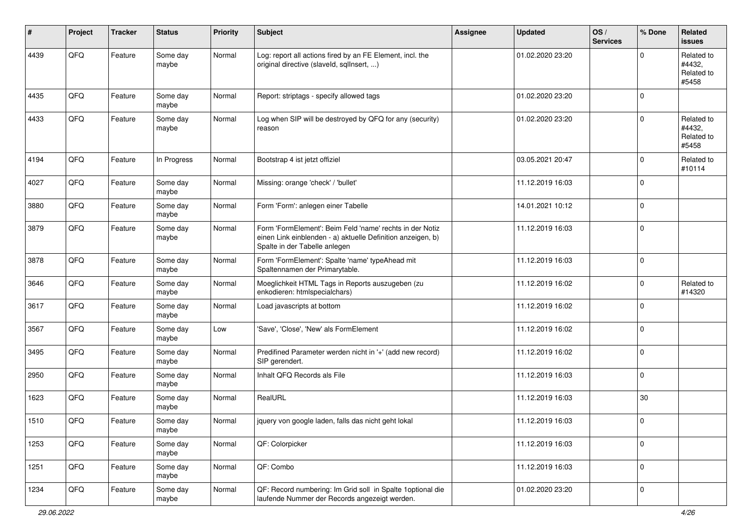| #    | Project | <b>Tracker</b> | <b>Status</b>     | <b>Priority</b> | Subject                                                                                                                                                  | <b>Assignee</b> | <b>Updated</b>   | OS/<br><b>Services</b> | % Done      | Related<br>issues                           |
|------|---------|----------------|-------------------|-----------------|----------------------------------------------------------------------------------------------------------------------------------------------------------|-----------------|------------------|------------------------|-------------|---------------------------------------------|
| 4439 | QFQ     | Feature        | Some day<br>maybe | Normal          | Log: report all actions fired by an FE Element, incl. the<br>original directive (slaveld, sqlInsert, )                                                   |                 | 01.02.2020 23:20 |                        | $\Omega$    | Related to<br>#4432,<br>Related to<br>#5458 |
| 4435 | QFQ     | Feature        | Some day<br>maybe | Normal          | Report: striptags - specify allowed tags                                                                                                                 |                 | 01.02.2020 23:20 |                        | $\Omega$    |                                             |
| 4433 | QFQ     | Feature        | Some day<br>maybe | Normal          | Log when SIP will be destroyed by QFQ for any (security)<br>reason                                                                                       |                 | 01.02.2020 23:20 |                        | $\Omega$    | Related to<br>#4432,<br>Related to<br>#5458 |
| 4194 | QFQ     | Feature        | In Progress       | Normal          | Bootstrap 4 ist jetzt offiziel                                                                                                                           |                 | 03.05.2021 20:47 |                        | $\Omega$    | Related to<br>#10114                        |
| 4027 | QFQ     | Feature        | Some day<br>maybe | Normal          | Missing: orange 'check' / 'bullet'                                                                                                                       |                 | 11.12.2019 16:03 |                        | $\Omega$    |                                             |
| 3880 | QFQ     | Feature        | Some day<br>maybe | Normal          | Form 'Form': anlegen einer Tabelle                                                                                                                       |                 | 14.01.2021 10:12 |                        | $\Omega$    |                                             |
| 3879 | QFQ     | Feature        | Some day<br>maybe | Normal          | Form 'FormElement': Beim Feld 'name' rechts in der Notiz<br>einen Link einblenden - a) aktuelle Definition anzeigen, b)<br>Spalte in der Tabelle anlegen |                 | 11.12.2019 16:03 |                        | $\mathbf 0$ |                                             |
| 3878 | QFQ     | Feature        | Some day<br>maybe | Normal          | Form 'FormElement': Spalte 'name' typeAhead mit<br>Spaltennamen der Primarytable.                                                                        |                 | 11.12.2019 16:03 |                        | $\Omega$    |                                             |
| 3646 | QFQ     | Feature        | Some day<br>maybe | Normal          | Moeglichkeit HTML Tags in Reports auszugeben (zu<br>enkodieren: htmlspecialchars)                                                                        |                 | 11.12.2019 16:02 |                        | $\mathbf 0$ | Related to<br>#14320                        |
| 3617 | QFQ     | Feature        | Some day<br>maybe | Normal          | Load javascripts at bottom                                                                                                                               |                 | 11.12.2019 16:02 |                        | $\Omega$    |                                             |
| 3567 | QFQ     | Feature        | Some day<br>maybe | Low             | 'Save', 'Close', 'New' als FormElement                                                                                                                   |                 | 11.12.2019 16:02 |                        | $\Omega$    |                                             |
| 3495 | QFQ     | Feature        | Some day<br>maybe | Normal          | Predifined Parameter werden nicht in '+' (add new record)<br>SIP gerendert.                                                                              |                 | 11.12.2019 16:02 |                        | $\Omega$    |                                             |
| 2950 | QFQ     | Feature        | Some day<br>maybe | Normal          | Inhalt QFQ Records als File                                                                                                                              |                 | 11.12.2019 16:03 |                        | $\mathbf 0$ |                                             |
| 1623 | QFQ     | Feature        | Some day<br>maybe | Normal          | RealURL                                                                                                                                                  |                 | 11.12.2019 16:03 |                        | $30\,$      |                                             |
| 1510 | QFQ     | Feature        | Some day<br>maybe | Normal          | jquery von google laden, falls das nicht geht lokal                                                                                                      |                 | 11.12.2019 16:03 |                        | $\mathbf 0$ |                                             |
| 1253 | QFQ     | Feature        | Some day<br>maybe | Normal          | QF: Colorpicker                                                                                                                                          |                 | 11.12.2019 16:03 |                        | $\mathbf 0$ |                                             |
| 1251 | QFQ     | Feature        | Some day<br>maybe | Normal          | QF: Combo                                                                                                                                                |                 | 11.12.2019 16:03 |                        | 0           |                                             |
| 1234 | QFQ     | Feature        | Some day<br>maybe | Normal          | QF: Record numbering: Im Grid soll in Spalte 1optional die<br>laufende Nummer der Records angezeigt werden.                                              |                 | 01.02.2020 23:20 |                        | $\mathbf 0$ |                                             |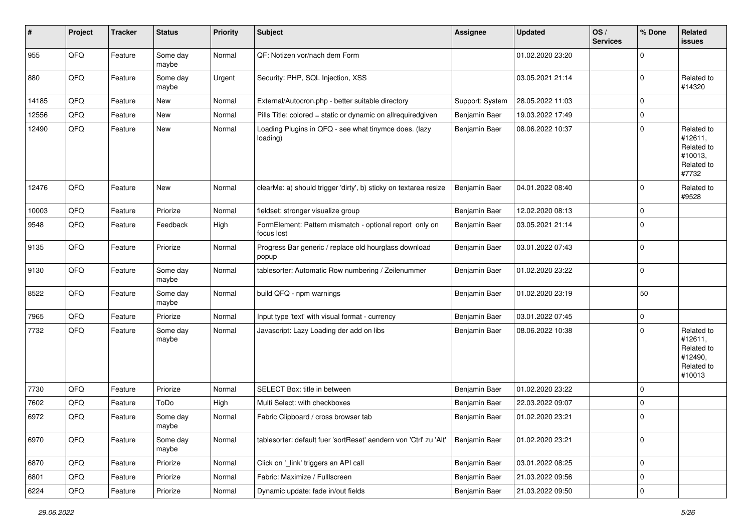| #     | Project | <b>Tracker</b> | <b>Status</b>     | <b>Priority</b> | Subject                                                               | <b>Assignee</b> | <b>Updated</b>   | OS/<br><b>Services</b> | % Done      | <b>Related</b><br>issues                                               |
|-------|---------|----------------|-------------------|-----------------|-----------------------------------------------------------------------|-----------------|------------------|------------------------|-------------|------------------------------------------------------------------------|
| 955   | QFQ     | Feature        | Some day<br>maybe | Normal          | QF: Notizen vor/nach dem Form                                         |                 | 01.02.2020 23:20 |                        | $\mathbf 0$ |                                                                        |
| 880   | QFQ     | Feature        | Some day<br>maybe | Urgent          | Security: PHP, SQL Injection, XSS                                     |                 | 03.05.2021 21:14 |                        | $\mathbf 0$ | Related to<br>#14320                                                   |
| 14185 | QFQ     | Feature        | New               | Normal          | External/Autocron.php - better suitable directory                     | Support: System | 28.05.2022 11:03 |                        | $\mathbf 0$ |                                                                        |
| 12556 | QFQ     | Feature        | <b>New</b>        | Normal          | Pills Title: colored = static or dynamic on allrequiredgiven          | Benjamin Baer   | 19.03.2022 17:49 |                        | $\pmb{0}$   |                                                                        |
| 12490 | QFQ     | Feature        | <b>New</b>        | Normal          | Loading Plugins in QFQ - see what tinymce does. (lazy<br>loading)     | Benjamin Baer   | 08.06.2022 10:37 |                        | $\mathbf 0$ | Related to<br>#12611,<br>Related to<br>#10013,<br>Related to<br>#7732  |
| 12476 | QFQ     | Feature        | <b>New</b>        | Normal          | clearMe: a) should trigger 'dirty', b) sticky on textarea resize      | Benjamin Baer   | 04.01.2022 08:40 |                        | 0           | Related to<br>#9528                                                    |
| 10003 | QFQ     | Feature        | Priorize          | Normal          | fieldset: stronger visualize group                                    | Benjamin Baer   | 12.02.2020 08:13 |                        | $\mathbf 0$ |                                                                        |
| 9548  | QFQ     | Feature        | Feedback          | High            | FormElement: Pattern mismatch - optional report only on<br>focus lost | Benjamin Baer   | 03.05.2021 21:14 |                        | $\mathbf 0$ |                                                                        |
| 9135  | QFQ     | Feature        | Priorize          | Normal          | Progress Bar generic / replace old hourglass download<br>popup        | Benjamin Baer   | 03.01.2022 07:43 |                        | $\mathbf 0$ |                                                                        |
| 9130  | QFQ     | Feature        | Some day<br>maybe | Normal          | tablesorter: Automatic Row numbering / Zeilenummer                    | Benjamin Baer   | 01.02.2020 23:22 |                        | $\pmb{0}$   |                                                                        |
| 8522  | QFQ     | Feature        | Some day<br>maybe | Normal          | build QFQ - npm warnings                                              | Benjamin Baer   | 01.02.2020 23:19 |                        | 50          |                                                                        |
| 7965  | QFQ     | Feature        | Priorize          | Normal          | Input type 'text' with visual format - currency                       | Benjamin Baer   | 03.01.2022 07:45 |                        | $\pmb{0}$   |                                                                        |
| 7732  | QFQ     | Feature        | Some day<br>maybe | Normal          | Javascript: Lazy Loading der add on libs                              | Benjamin Baer   | 08.06.2022 10:38 |                        | $\mathbf 0$ | Related to<br>#12611,<br>Related to<br>#12490,<br>Related to<br>#10013 |
| 7730  | QFQ     | Feature        | Priorize          | Normal          | SELECT Box: title in between                                          | Benjamin Baer   | 01.02.2020 23:22 |                        | $\mathbf 0$ |                                                                        |
| 7602  | QFQ     | Feature        | ToDo              | High            | Multi Select: with checkboxes                                         | Benjamin Baer   | 22.03.2022 09:07 |                        | $\mathbf 0$ |                                                                        |
| 6972  | QFQ     | Feature        | Some day<br>maybe | Normal          | Fabric Clipboard / cross browser tab                                  | Benjamin Baer   | 01.02.2020 23:21 |                        | $\mathbf 0$ |                                                                        |
| 6970  | QFQ     | Feature        | Some day<br>maybe | Normal          | tablesorter: default fuer 'sortReset' aendern von 'Ctrl' zu 'Alt'     | Benjamin Baer   | 01.02.2020 23:21 |                        | $\mathbf 0$ |                                                                        |
| 6870  | QFQ     | Feature        | Priorize          | Normal          | Click on '_link' triggers an API call                                 | Benjamin Baer   | 03.01.2022 08:25 |                        | $\pmb{0}$   |                                                                        |
| 6801  | QFQ     | Feature        | Priorize          | Normal          | Fabric: Maximize / FullIscreen                                        | Benjamin Baer   | 21.03.2022 09:56 |                        | $\pmb{0}$   |                                                                        |
| 6224  | QFG     | Feature        | Priorize          | Normal          | Dynamic update: fade in/out fields                                    | Benjamin Baer   | 21.03.2022 09:50 |                        | $\pmb{0}$   |                                                                        |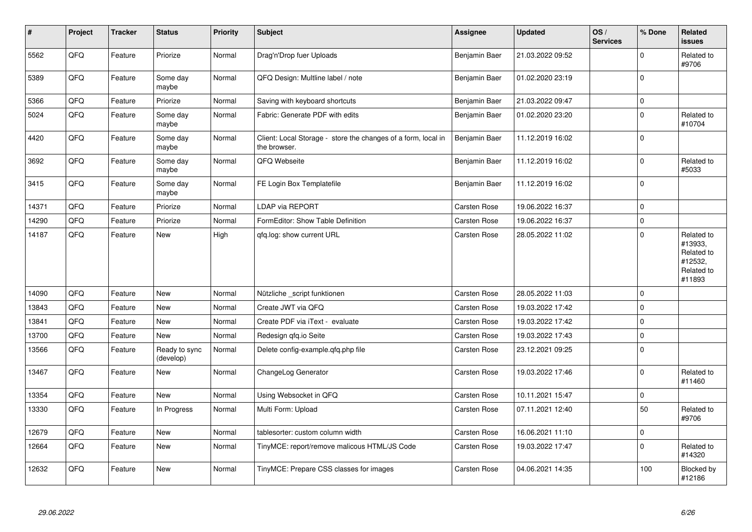| $\sharp$ | Project | <b>Tracker</b> | <b>Status</b>              | <b>Priority</b> | <b>Subject</b>                                                                | Assignee      | <b>Updated</b>   | OS/<br><b>Services</b> | % Done      | Related<br><b>issues</b>                                               |
|----------|---------|----------------|----------------------------|-----------------|-------------------------------------------------------------------------------|---------------|------------------|------------------------|-------------|------------------------------------------------------------------------|
| 5562     | QFQ     | Feature        | Priorize                   | Normal          | Drag'n'Drop fuer Uploads                                                      | Benjamin Baer | 21.03.2022 09:52 |                        | $\mathbf 0$ | Related to<br>#9706                                                    |
| 5389     | QFQ     | Feature        | Some day<br>maybe          | Normal          | QFQ Design: Multline label / note                                             | Benjamin Baer | 01.02.2020 23:19 |                        | $\mathbf 0$ |                                                                        |
| 5366     | QFQ     | Feature        | Priorize                   | Normal          | Saving with keyboard shortcuts                                                | Benjamin Baer | 21.03.2022 09:47 |                        | $\mathbf 0$ |                                                                        |
| 5024     | QFQ     | Feature        | Some day<br>maybe          | Normal          | Fabric: Generate PDF with edits                                               | Benjamin Baer | 01.02.2020 23:20 |                        | $\mathbf 0$ | Related to<br>#10704                                                   |
| 4420     | QFQ     | Feature        | Some day<br>maybe          | Normal          | Client: Local Storage - store the changes of a form, local in<br>the browser. | Benjamin Baer | 11.12.2019 16:02 |                        | $\mathbf 0$ |                                                                        |
| 3692     | QFQ     | Feature        | Some day<br>maybe          | Normal          | QFQ Webseite                                                                  | Benjamin Baer | 11.12.2019 16:02 |                        | $\mathbf 0$ | Related to<br>#5033                                                    |
| 3415     | QFQ     | Feature        | Some day<br>maybe          | Normal          | FE Login Box Templatefile                                                     | Benjamin Baer | 11.12.2019 16:02 |                        | $\mathbf 0$ |                                                                        |
| 14371    | QFQ     | Feature        | Priorize                   | Normal          | LDAP via REPORT                                                               | Carsten Rose  | 19.06.2022 16:37 |                        | $\pmb{0}$   |                                                                        |
| 14290    | QFQ     | Feature        | Priorize                   | Normal          | FormEditor: Show Table Definition                                             | Carsten Rose  | 19.06.2022 16:37 |                        | $\pmb{0}$   |                                                                        |
| 14187    | QFQ     | Feature        | <b>New</b>                 | High            | qfq.log: show current URL                                                     | Carsten Rose  | 28.05.2022 11:02 |                        | $\mathbf 0$ | Related to<br>#13933,<br>Related to<br>#12532,<br>Related to<br>#11893 |
| 14090    | QFQ     | Feature        | <b>New</b>                 | Normal          | Nützliche _script funktionen                                                  | Carsten Rose  | 28.05.2022 11:03 |                        | $\mathbf 0$ |                                                                        |
| 13843    | QFQ     | Feature        | <b>New</b>                 | Normal          | Create JWT via QFQ                                                            | Carsten Rose  | 19.03.2022 17:42 |                        | $\mathbf 0$ |                                                                        |
| 13841    | QFQ     | Feature        | New                        | Normal          | Create PDF via iText - evaluate                                               | Carsten Rose  | 19.03.2022 17:42 |                        | $\pmb{0}$   |                                                                        |
| 13700    | QFQ     | Feature        | New                        | Normal          | Redesign gfg.io Seite                                                         | Carsten Rose  | 19.03.2022 17:43 |                        | $\pmb{0}$   |                                                                        |
| 13566    | QFQ     | Feature        | Ready to sync<br>(develop) | Normal          | Delete config-example.qfq.php file                                            | Carsten Rose  | 23.12.2021 09:25 |                        | $\mathbf 0$ |                                                                        |
| 13467    | QFQ     | Feature        | New                        | Normal          | ChangeLog Generator                                                           | Carsten Rose  | 19.03.2022 17:46 |                        | $\pmb{0}$   | Related to<br>#11460                                                   |
| 13354    | QFQ     | Feature        | New                        | Normal          | Using Websocket in QFQ                                                        | Carsten Rose  | 10.11.2021 15:47 |                        | $\mathbf 0$ |                                                                        |
| 13330    | QFQ     | Feature        | In Progress                | Normal          | Multi Form: Upload                                                            | Carsten Rose  | 07.11.2021 12:40 |                        | 50          | Related to<br>#9706                                                    |
| 12679    | QFQ     | Feature        | New                        | Normal          | tablesorter: custom column width                                              | Carsten Rose  | 16.06.2021 11:10 |                        | $\pmb{0}$   |                                                                        |
| 12664    | QFQ     | Feature        | New                        | Normal          | TinyMCE: report/remove malicous HTML/JS Code                                  | Carsten Rose  | 19.03.2022 17:47 |                        | $\mathbf 0$ | Related to<br>#14320                                                   |
| 12632    | QFQ     | Feature        | New                        | Normal          | TinyMCE: Prepare CSS classes for images                                       | Carsten Rose  | 04.06.2021 14:35 |                        | 100         | Blocked by<br>#12186                                                   |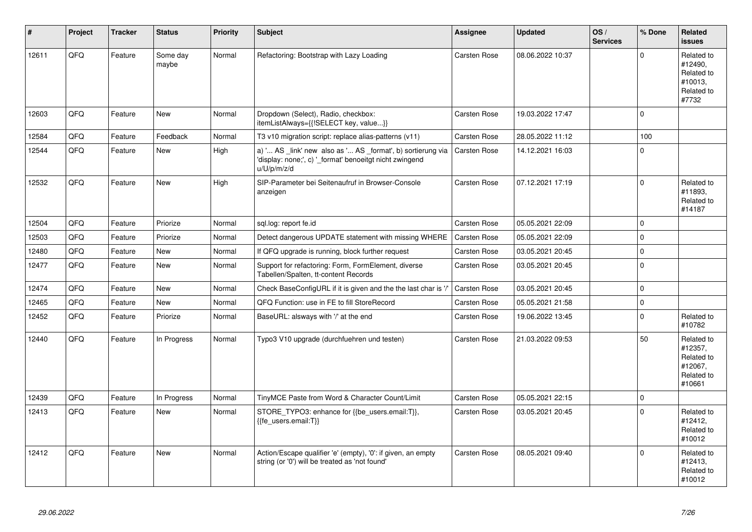| $\vert$ # | Project | <b>Tracker</b> | <b>Status</b>     | <b>Priority</b> | <b>Subject</b>                                                                                                                        | Assignee            | <b>Updated</b>   | OS/<br><b>Services</b> | % Done      | Related<br><b>issues</b>                                               |
|-----------|---------|----------------|-------------------|-----------------|---------------------------------------------------------------------------------------------------------------------------------------|---------------------|------------------|------------------------|-------------|------------------------------------------------------------------------|
| 12611     | QFQ     | Feature        | Some day<br>maybe | Normal          | Refactoring: Bootstrap with Lazy Loading                                                                                              | Carsten Rose        | 08.06.2022 10:37 |                        | $\Omega$    | Related to<br>#12490.<br>Related to<br>#10013.<br>Related to<br>#7732  |
| 12603     | QFQ     | Feature        | New               | Normal          | Dropdown (Select), Radio, checkbox:<br>itemListAlways={{!SELECT key, value}}                                                          | Carsten Rose        | 19.03.2022 17:47 |                        | $\mathbf 0$ |                                                                        |
| 12584     | QFQ     | Feature        | Feedback          | Normal          | T3 v10 migration script: replace alias-patterns (v11)                                                                                 | Carsten Rose        | 28.05.2022 11:12 |                        | 100         |                                                                        |
| 12544     | QFQ     | Feature        | New               | High            | a) ' AS _link' new also as ' AS _format', b) sortierung via<br>'display: none;', c) '_format' benoeitgt nicht zwingend<br>u/U/p/m/z/d | Carsten Rose        | 14.12.2021 16:03 |                        | $\Omega$    |                                                                        |
| 12532     | QFQ     | Feature        | <b>New</b>        | High            | SIP-Parameter bei Seitenaufruf in Browser-Console<br>anzeigen                                                                         | <b>Carsten Rose</b> | 07.12.2021 17:19 |                        | $\mathbf 0$ | Related to<br>#11893.<br>Related to<br>#14187                          |
| 12504     | QFQ     | Feature        | Priorize          | Normal          | sql.log: report fe.id                                                                                                                 | Carsten Rose        | 05.05.2021 22:09 |                        | $\mathbf 0$ |                                                                        |
| 12503     | QFQ     | Feature        | Priorize          | Normal          | Detect dangerous UPDATE statement with missing WHERE                                                                                  | <b>Carsten Rose</b> | 05.05.2021 22:09 |                        | $\mathbf 0$ |                                                                        |
| 12480     | QFQ     | Feature        | New               | Normal          | If QFQ upgrade is running, block further request                                                                                      | Carsten Rose        | 03.05.2021 20:45 |                        | $\mathbf 0$ |                                                                        |
| 12477     | QFQ     | Feature        | New               | Normal          | Support for refactoring: Form, FormElement, diverse<br>Tabellen/Spalten, tt-content Records                                           | Carsten Rose        | 03.05.2021 20:45 |                        | $\mathbf 0$ |                                                                        |
| 12474     | QFQ     | Feature        | <b>New</b>        | Normal          | Check BaseConfigURL if it is given and the the last char is '/'                                                                       | <b>Carsten Rose</b> | 03.05.2021 20:45 |                        | $\mathbf 0$ |                                                                        |
| 12465     | QFQ     | Feature        | New               | Normal          | QFQ Function: use in FE to fill StoreRecord                                                                                           | Carsten Rose        | 05.05.2021 21:58 |                        | $\pmb{0}$   |                                                                        |
| 12452     | QFQ     | Feature        | Priorize          | Normal          | BaseURL: alsways with '/' at the end                                                                                                  | Carsten Rose        | 19.06.2022 13:45 |                        | $\mathbf 0$ | Related to<br>#10782                                                   |
| 12440     | QFQ     | Feature        | In Progress       | Normal          | Typo3 V10 upgrade (durchfuehren und testen)                                                                                           | Carsten Rose        | 21.03.2022 09:53 |                        | 50          | Related to<br>#12357,<br>Related to<br>#12067.<br>Related to<br>#10661 |
| 12439     | QFQ     | Feature        | In Progress       | Normal          | TinyMCE Paste from Word & Character Count/Limit                                                                                       | Carsten Rose        | 05.05.2021 22:15 |                        | $\mathbf 0$ |                                                                        |
| 12413     | QFQ     | Feature        | <b>New</b>        | Normal          | STORE TYPO3: enhance for {{be users.email:T}},<br>{{fe users.email:T}}                                                                | Carsten Rose        | 03.05.2021 20:45 |                        | $\Omega$    | Related to<br>#12412,<br>Related to<br>#10012                          |
| 12412     | QFQ     | Feature        | <b>New</b>        | Normal          | Action/Escape qualifier 'e' (empty), '0': if given, an empty<br>string (or '0') will be treated as 'not found'                        | Carsten Rose        | 08.05.2021 09:40 |                        | $\Omega$    | Related to<br>#12413,<br>Related to<br>#10012                          |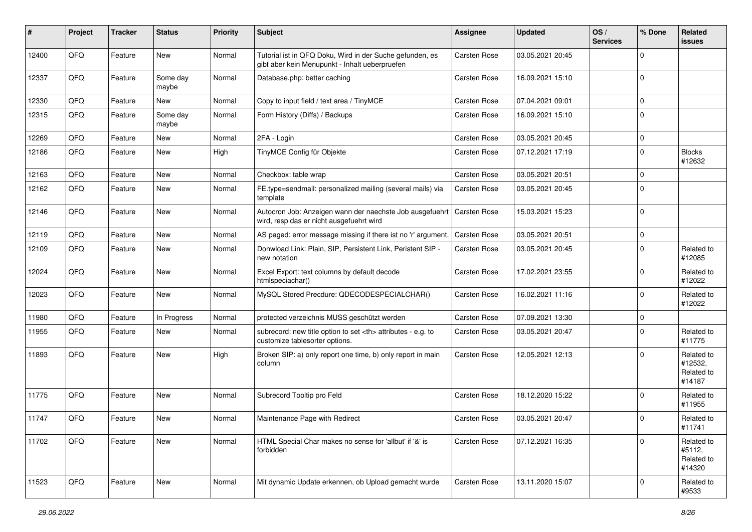| ∦     | Project | <b>Tracker</b> | <b>Status</b>     | <b>Priority</b> | Subject                                                                                                    | <b>Assignee</b>                                        | <b>Updated</b>   | OS/<br><b>Services</b> | % Done      | Related<br><b>issues</b>                      |                      |
|-------|---------|----------------|-------------------|-----------------|------------------------------------------------------------------------------------------------------------|--------------------------------------------------------|------------------|------------------------|-------------|-----------------------------------------------|----------------------|
| 12400 | QFQ     | Feature        | <b>New</b>        | Normal          | Tutorial ist in QFQ Doku, Wird in der Suche gefunden, es<br>gibt aber kein Menupunkt - Inhalt ueberpruefen | <b>Carsten Rose</b>                                    | 03.05.2021 20:45 |                        | $\mathbf 0$ |                                               |                      |
| 12337 | QFQ     | Feature        | Some day<br>maybe | Normal          | Database.php: better caching                                                                               | <b>Carsten Rose</b>                                    | 16.09.2021 15:10 |                        | $\mathbf 0$ |                                               |                      |
| 12330 | QFQ     | Feature        | New               | Normal          | Copy to input field / text area / TinyMCE                                                                  | Carsten Rose                                           | 07.04.2021 09:01 |                        | $\mathbf 0$ |                                               |                      |
| 12315 | QFQ     | Feature        | Some day<br>maybe | Normal          | Form History (Diffs) / Backups                                                                             | Carsten Rose                                           | 16.09.2021 15:10 |                        | $\mathbf 0$ |                                               |                      |
| 12269 | QFQ     | Feature        | New               | Normal          | 2FA - Login                                                                                                | Carsten Rose                                           | 03.05.2021 20:45 |                        | $\mathbf 0$ |                                               |                      |
| 12186 | QFQ     | Feature        | New               | High            | TinyMCE Config für Objekte                                                                                 | Carsten Rose                                           | 07.12.2021 17:19 |                        | $\mathbf 0$ | <b>Blocks</b><br>#12632                       |                      |
| 12163 | QFQ     | Feature        | New               | Normal          | Checkbox: table wrap                                                                                       | Carsten Rose                                           | 03.05.2021 20:51 |                        | $\mathbf 0$ |                                               |                      |
| 12162 | QFQ     | Feature        | New               | Normal          | FE.type=sendmail: personalized mailing (several mails) via<br>template                                     | Carsten Rose                                           | 03.05.2021 20:45 |                        | $\Omega$    |                                               |                      |
| 12146 | QFQ     | Feature        | New               | Normal          | Autocron Job: Anzeigen wann der naechste Job ausgefuehrt<br>wird, resp das er nicht ausgefuehrt wird       | Carsten Rose                                           | 15.03.2021 15:23 |                        | $\mathbf 0$ |                                               |                      |
| 12119 | QFQ     | Feature        | <b>New</b>        | Normal          | AS paged: error message missing if there ist no 'r' argument.                                              | <b>Carsten Rose</b>                                    | 03.05.2021 20:51 |                        | $\mathbf 0$ |                                               |                      |
| 12109 | QFQ     | Feature        | New               | Normal          | Donwload Link: Plain, SIP, Persistent Link, Peristent SIP -<br>new notation                                | Carsten Rose                                           | 03.05.2021 20:45 |                        | $\mathbf 0$ | Related to<br>#12085                          |                      |
| 12024 | QFQ     | Feature        | <b>New</b>        | Normal          | Excel Export: text columns by default decode<br>htmlspeciachar()                                           | Carsten Rose                                           | 17.02.2021 23:55 |                        | $\mathbf 0$ | Related to<br>#12022                          |                      |
| 12023 | QFQ     | Feature        | <b>New</b>        | Normal          | MySQL Stored Precdure: QDECODESPECIALCHAR()                                                                | Carsten Rose                                           | 16.02.2021 11:16 |                        | $\mathbf 0$ | Related to<br>#12022                          |                      |
| 11980 | QFQ     | Feature        | In Progress       | Normal          | protected verzeichnis MUSS geschützt werden                                                                | Carsten Rose                                           | 07.09.2021 13:30 |                        | $\mathbf 0$ |                                               |                      |
| 11955 | QFQ     | Feature        | New               | Normal          | subrecord: new title option to set <th> attributes - e.g. to<br/>customize tablesorter options.</th>       | attributes - e.g. to<br>customize tablesorter options. | Carsten Rose     | 03.05.2021 20:47       |             | $\mathbf 0$                                   | Related to<br>#11775 |
| 11893 | QFQ     | Feature        | New               | High            | Broken SIP: a) only report one time, b) only report in main<br>column                                      | Carsten Rose                                           | 12.05.2021 12:13 |                        | $\Omega$    | Related to<br>#12532,<br>Related to<br>#14187 |                      |
| 11775 | QFQ     | Feature        | <b>New</b>        | Normal          | Subrecord Tooltip pro Feld                                                                                 | Carsten Rose                                           | 18.12.2020 15:22 |                        | $\mathbf 0$ | Related to<br>#11955                          |                      |
| 11747 | QFQ     | Feature        | New               | Normal          | Maintenance Page with Redirect                                                                             | Carsten Rose                                           | 03.05.2021 20:47 |                        | $\mathbf 0$ | Related to<br>#11741                          |                      |
| 11702 | QFQ     | Feature        | New               | Normal          | HTML Special Char makes no sense for 'allbut' if '&' is<br>forbidden                                       | Carsten Rose                                           | 07.12.2021 16:35 |                        | $\mathbf 0$ | Related to<br>#5112,<br>Related to<br>#14320  |                      |
| 11523 | QFQ     | Feature        | New               | Normal          | Mit dynamic Update erkennen, ob Upload gemacht wurde                                                       | Carsten Rose                                           | 13.11.2020 15:07 |                        | $\pmb{0}$   | Related to<br>#9533                           |                      |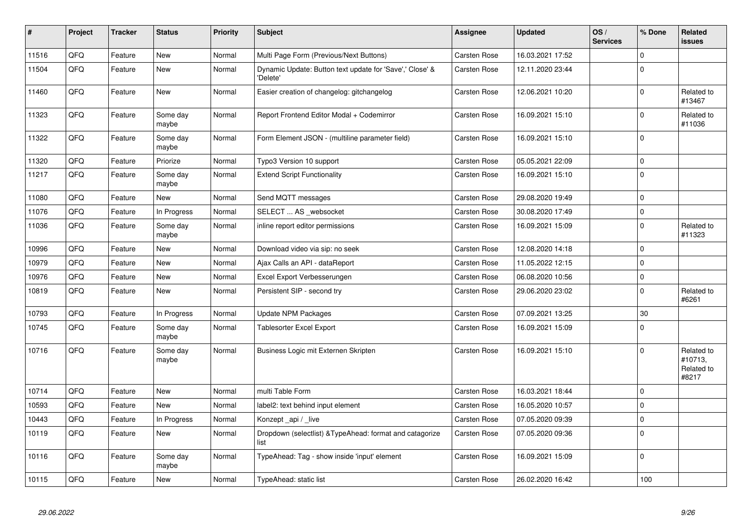| #     | Project | <b>Tracker</b> | <b>Status</b>     | <b>Priority</b> | <b>Subject</b>                                                       | Assignee            | <b>Updated</b>   | OS/<br><b>Services</b> | % Done         | <b>Related</b><br><b>issues</b>              |
|-------|---------|----------------|-------------------|-----------------|----------------------------------------------------------------------|---------------------|------------------|------------------------|----------------|----------------------------------------------|
| 11516 | QFQ     | Feature        | <b>New</b>        | Normal          | Multi Page Form (Previous/Next Buttons)                              | <b>Carsten Rose</b> | 16.03.2021 17:52 |                        | $\Omega$       |                                              |
| 11504 | QFQ     | Feature        | New               | Normal          | Dynamic Update: Button text update for 'Save',' Close' &<br>'Delete' | Carsten Rose        | 12.11.2020 23:44 |                        | $\mathbf{0}$   |                                              |
| 11460 | QFQ     | Feature        | <b>New</b>        | Normal          | Easier creation of changelog: gitchangelog                           | Carsten Rose        | 12.06.2021 10:20 |                        | $\overline{0}$ | Related to<br>#13467                         |
| 11323 | QFQ     | Feature        | Some day<br>maybe | Normal          | Report Frontend Editor Modal + Codemirror                            | Carsten Rose        | 16.09.2021 15:10 |                        | $\mathbf 0$    | Related to<br>#11036                         |
| 11322 | QFQ     | Feature        | Some day<br>maybe | Normal          | Form Element JSON - (multiline parameter field)                      | Carsten Rose        | 16.09.2021 15:10 |                        | $\mathbf 0$    |                                              |
| 11320 | QFQ     | Feature        | Priorize          | Normal          | Typo3 Version 10 support                                             | Carsten Rose        | 05.05.2021 22:09 |                        | $\mathbf{0}$   |                                              |
| 11217 | QFQ     | Feature        | Some day<br>maybe | Normal          | <b>Extend Script Functionality</b>                                   | Carsten Rose        | 16.09.2021 15:10 |                        | $\mathbf{0}$   |                                              |
| 11080 | QFQ     | Feature        | New               | Normal          | Send MQTT messages                                                   | Carsten Rose        | 29.08.2020 19:49 |                        | $\mathbf{0}$   |                                              |
| 11076 | QFQ     | Feature        | In Progress       | Normal          | SELECT  AS websocket                                                 | Carsten Rose        | 30.08.2020 17:49 |                        | $\mathbf{0}$   |                                              |
| 11036 | QFQ     | Feature        | Some day<br>maybe | Normal          | inline report editor permissions                                     | Carsten Rose        | 16.09.2021 15:09 |                        | $\mathbf{0}$   | Related to<br>#11323                         |
| 10996 | QFQ     | Feature        | <b>New</b>        | Normal          | Download video via sip: no seek                                      | Carsten Rose        | 12.08.2020 14:18 |                        | $\mathbf 0$    |                                              |
| 10979 | QFQ     | Feature        | <b>New</b>        | Normal          | Ajax Calls an API - dataReport                                       | Carsten Rose        | 11.05.2022 12:15 |                        | $\mathbf 0$    |                                              |
| 10976 | QFQ     | Feature        | <b>New</b>        | Normal          | Excel Export Verbesserungen                                          | Carsten Rose        | 06.08.2020 10:56 |                        | $\mathbf{0}$   |                                              |
| 10819 | QFQ     | Feature        | New               | Normal          | Persistent SIP - second try                                          | Carsten Rose        | 29.06.2020 23:02 |                        | $\mathbf{0}$   | Related to<br>#6261                          |
| 10793 | QFQ     | Feature        | In Progress       | Normal          | <b>Update NPM Packages</b>                                           | Carsten Rose        | 07.09.2021 13:25 |                        | 30             |                                              |
| 10745 | QFQ     | Feature        | Some day<br>maybe | Normal          | Tablesorter Excel Export                                             | Carsten Rose        | 16.09.2021 15:09 |                        | $\Omega$       |                                              |
| 10716 | QFQ     | Feature        | Some day<br>maybe | Normal          | Business Logic mit Externen Skripten                                 | Carsten Rose        | 16.09.2021 15:10 |                        | $\mathbf{0}$   | Related to<br>#10713,<br>Related to<br>#8217 |
| 10714 | QFQ     | Feature        | New               | Normal          | multi Table Form                                                     | Carsten Rose        | 16.03.2021 18:44 |                        | $\mathbf{0}$   |                                              |
| 10593 | QFQ     | Feature        | <b>New</b>        | Normal          | label2: text behind input element                                    | Carsten Rose        | 16.05.2020 10:57 |                        | $\mathbf{0}$   |                                              |
| 10443 | QFQ     | Feature        | In Progress       | Normal          | Konzept _api / _live                                                 | Carsten Rose        | 07.05.2020 09:39 |                        | $\mathbf 0$    |                                              |
| 10119 | QFQ     | Feature        | <b>New</b>        | Normal          | Dropdown (selectlist) & Type Ahead: format and catagorize<br>list    | Carsten Rose        | 07.05.2020 09:36 |                        | $\mathbf{0}$   |                                              |
| 10116 | QFQ     | Feature        | Some day<br>maybe | Normal          | TypeAhead: Tag - show inside 'input' element                         | Carsten Rose        | 16.09.2021 15:09 |                        | $\mathbf{0}$   |                                              |
| 10115 | QFQ     | Feature        | New               | Normal          | TypeAhead: static list                                               | <b>Carsten Rose</b> | 26.02.2020 16:42 |                        | 100            |                                              |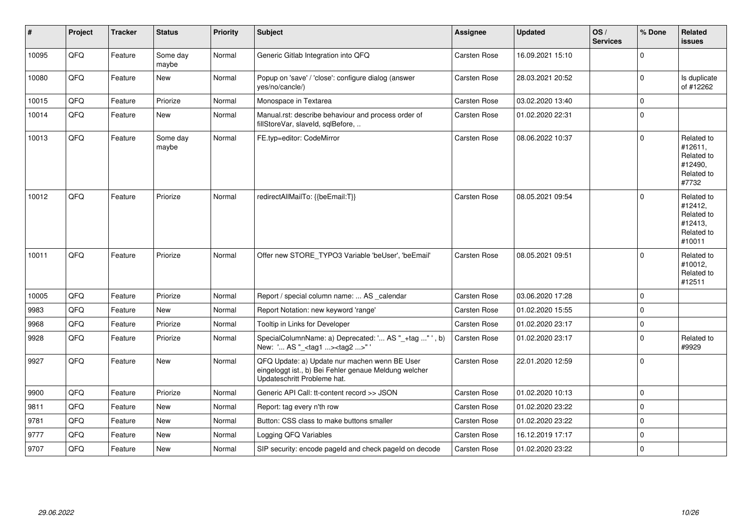| #     | Project | <b>Tracker</b> | <b>Status</b>     | <b>Priority</b> | Subject                                                                                                                               | <b>Assignee</b>     | <b>Updated</b>   | $\log$<br><b>Services</b> | % Done      | Related<br>issues                                                      |
|-------|---------|----------------|-------------------|-----------------|---------------------------------------------------------------------------------------------------------------------------------------|---------------------|------------------|---------------------------|-------------|------------------------------------------------------------------------|
| 10095 | QFQ     | Feature        | Some day<br>maybe | Normal          | Generic Gitlab Integration into QFQ                                                                                                   | Carsten Rose        | 16.09.2021 15:10 |                           | $\Omega$    |                                                                        |
| 10080 | QFQ     | Feature        | New               | Normal          | Popup on 'save' / 'close': configure dialog (answer<br>yes/no/cancle/)                                                                | Carsten Rose        | 28.03.2021 20:52 |                           | $\Omega$    | Is duplicate<br>of #12262                                              |
| 10015 | QFQ     | Feature        | Priorize          | Normal          | Monospace in Textarea                                                                                                                 | Carsten Rose        | 03.02.2020 13:40 |                           | $\Omega$    |                                                                        |
| 10014 | QFQ     | Feature        | New               | Normal          | Manual.rst: describe behaviour and process order of<br>fillStoreVar, slaveId, sqlBefore,                                              | Carsten Rose        | 01.02.2020 22:31 |                           | $\Omega$    |                                                                        |
| 10013 | QFQ     | Feature        | Some day<br>maybe | Normal          | FE.typ=editor: CodeMirror                                                                                                             | Carsten Rose        | 08.06.2022 10:37 |                           | $\Omega$    | Related to<br>#12611,<br>Related to<br>#12490.<br>Related to<br>#7732  |
| 10012 | QFQ     | Feature        | Priorize          | Normal          | redirectAllMailTo: {{beEmail:T}}                                                                                                      | <b>Carsten Rose</b> | 08.05.2021 09:54 |                           | $\Omega$    | Related to<br>#12412,<br>Related to<br>#12413,<br>Related to<br>#10011 |
| 10011 | QFQ     | Feature        | Priorize          | Normal          | Offer new STORE_TYPO3 Variable 'beUser', 'beEmail'                                                                                    | Carsten Rose        | 08.05.2021 09:51 |                           | $\Omega$    | Related to<br>#10012,<br>Related to<br>#12511                          |
| 10005 | QFQ     | Feature        | Priorize          | Normal          | Report / special column name:  AS _calendar                                                                                           | Carsten Rose        | 03.06.2020 17:28 |                           | $\Omega$    |                                                                        |
| 9983  | QFQ     | Feature        | New               | Normal          | Report Notation: new keyword 'range'                                                                                                  | Carsten Rose        | 01.02.2020 15:55 |                           | $\Omega$    |                                                                        |
| 9968  | QFQ     | Feature        | Priorize          | Normal          | Tooltip in Links for Developer                                                                                                        | Carsten Rose        | 01.02.2020 23:17 |                           | $\mathbf 0$ |                                                                        |
| 9928  | QFQ     | Feature        | Priorize          | Normal          | SpecialColumnName: a) Deprecated: ' AS "_+tag " ', b)<br>New: ' AS "_ <tag1><tag2>"</tag2></tag1>                                     | Carsten Rose        | 01.02.2020 23:17 |                           | $\Omega$    | Related to<br>#9929                                                    |
| 9927  | QFQ     | Feature        | New               | Normal          | QFQ Update: a) Update nur machen wenn BE User<br>eingeloggt ist., b) Bei Fehler genaue Meldung welcher<br>Updateschritt Probleme hat. | Carsten Rose        | 22.01.2020 12:59 |                           | $\Omega$    |                                                                        |
| 9900  | QFQ     | Feature        | Priorize          | Normal          | Generic API Call: tt-content record >> JSON                                                                                           | Carsten Rose        | 01.02.2020 10:13 |                           | $\Omega$    |                                                                        |
| 9811  | QFQ     | Feature        | <b>New</b>        | Normal          | Report: tag every n'th row                                                                                                            | Carsten Rose        | 01.02.2020 23:22 |                           | $\Omega$    |                                                                        |
| 9781  | QFQ     | Feature        | <b>New</b>        | Normal          | Button: CSS class to make buttons smaller                                                                                             | Carsten Rose        | 01.02.2020 23:22 |                           | $\Omega$    |                                                                        |
| 9777  | QFQ     | Feature        | <b>New</b>        | Normal          | Logging QFQ Variables                                                                                                                 | Carsten Rose        | 16.12.2019 17:17 |                           | $\Omega$    |                                                                        |
| 9707  | QFQ     | Feature        | New               | Normal          | SIP security: encode pageld and check pageld on decode                                                                                | Carsten Rose        | 01.02.2020 23:22 |                           | $\Omega$    |                                                                        |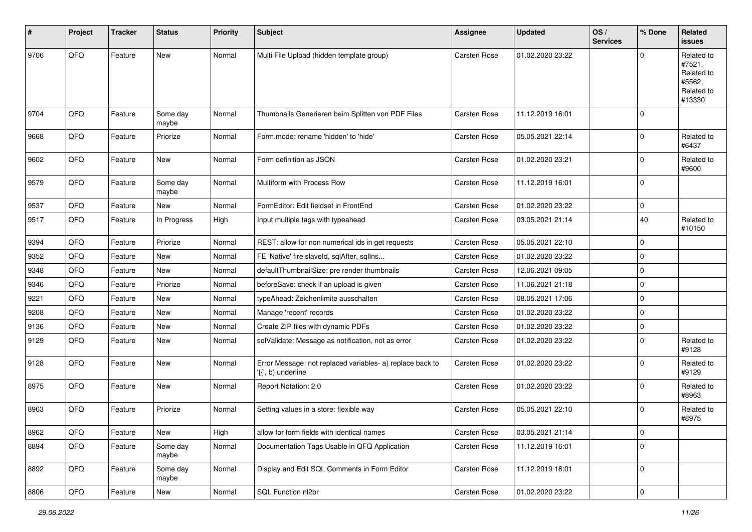| $\vert$ # | Project | <b>Tracker</b> | <b>Status</b>     | <b>Priority</b> | <b>Subject</b>                                                                  | <b>Assignee</b>     | <b>Updated</b>   | OS/<br><b>Services</b> | % Done      | Related<br><b>issues</b>                                             |
|-----------|---------|----------------|-------------------|-----------------|---------------------------------------------------------------------------------|---------------------|------------------|------------------------|-------------|----------------------------------------------------------------------|
| 9706      | QFQ     | Feature        | New               | Normal          | Multi File Upload (hidden template group)                                       | <b>Carsten Rose</b> | 01.02.2020 23:22 |                        | $\Omega$    | Related to<br>#7521,<br>Related to<br>#5562,<br>Related to<br>#13330 |
| 9704      | QFQ     | Feature        | Some day<br>maybe | Normal          | Thumbnails Generieren beim Splitten von PDF Files                               | <b>Carsten Rose</b> | 11.12.2019 16:01 |                        | $\mathbf 0$ |                                                                      |
| 9668      | QFQ     | Feature        | Priorize          | Normal          | Form.mode: rename 'hidden' to 'hide'                                            | Carsten Rose        | 05.05.2021 22:14 |                        | $\pmb{0}$   | Related to<br>#6437                                                  |
| 9602      | QFQ     | Feature        | New               | Normal          | Form definition as JSON                                                         | Carsten Rose        | 01.02.2020 23:21 |                        | $\mathbf 0$ | Related to<br>#9600                                                  |
| 9579      | QFQ     | Feature        | Some day<br>maybe | Normal          | Multiform with Process Row                                                      | Carsten Rose        | 11.12.2019 16:01 |                        | $\mathbf 0$ |                                                                      |
| 9537      | QFQ     | Feature        | New               | Normal          | FormEditor: Edit fieldset in FrontEnd                                           | Carsten Rose        | 01.02.2020 23:22 |                        | $\mathbf 0$ |                                                                      |
| 9517      | QFQ     | Feature        | In Progress       | High            | Input multiple tags with typeahead                                              | Carsten Rose        | 03.05.2021 21:14 |                        | 40          | Related to<br>#10150                                                 |
| 9394      | QFQ     | Feature        | Priorize          | Normal          | REST: allow for non numerical ids in get requests                               | Carsten Rose        | 05.05.2021 22:10 |                        | $\pmb{0}$   |                                                                      |
| 9352      | QFQ     | Feature        | New               | Normal          | FE 'Native' fire slaveld, sqlAfter, sqllns                                      | Carsten Rose        | 01.02.2020 23:22 |                        | $\mathbf 0$ |                                                                      |
| 9348      | QFQ     | Feature        | New               | Normal          | defaultThumbnailSize: pre render thumbnails                                     | Carsten Rose        | 12.06.2021 09:05 |                        | $\mathbf 0$ |                                                                      |
| 9346      | QFQ     | Feature        | Priorize          | Normal          | beforeSave: check if an upload is given                                         | Carsten Rose        | 11.06.2021 21:18 |                        | $\mathbf 0$ |                                                                      |
| 9221      | QFQ     | Feature        | New               | Normal          | typeAhead: Zeichenlimite ausschalten                                            | Carsten Rose        | 08.05.2021 17:06 |                        | $\mathbf 0$ |                                                                      |
| 9208      | QFQ     | Feature        | New               | Normal          | Manage 'recent' records                                                         | Carsten Rose        | 01.02.2020 23:22 |                        | $\mathbf 0$ |                                                                      |
| 9136      | QFQ     | Feature        | New               | Normal          | Create ZIP files with dynamic PDFs                                              | Carsten Rose        | 01.02.2020 23:22 |                        | $\mathbf 0$ |                                                                      |
| 9129      | QFQ     | Feature        | New               | Normal          | sqlValidate: Message as notification, not as error                              | Carsten Rose        | 01.02.2020 23:22 |                        | $\mathbf 0$ | Related to<br>#9128                                                  |
| 9128      | QFQ     | Feature        | New               | Normal          | Error Message: not replaced variables- a) replace back to<br>'{{', b) underline | Carsten Rose        | 01.02.2020 23:22 |                        | $\mathbf 0$ | Related to<br>#9129                                                  |
| 8975      | QFQ     | Feature        | New               | Normal          | Report Notation: 2.0                                                            | Carsten Rose        | 01.02.2020 23:22 |                        | $\mathbf 0$ | Related to<br>#8963                                                  |
| 8963      | QFQ     | Feature        | Priorize          | Normal          | Setting values in a store: flexible way                                         | <b>Carsten Rose</b> | 05.05.2021 22:10 |                        | $\mathbf 0$ | Related to<br>#8975                                                  |
| 8962      | QFG     | Feature        | New               | High            | allow for form fields with identical names                                      | Carsten Rose        | 03.05.2021 21:14 |                        | $\pmb{0}$   |                                                                      |
| 8894      | QFQ     | Feature        | Some day<br>maybe | Normal          | Documentation Tags Usable in QFQ Application                                    | Carsten Rose        | 11.12.2019 16:01 |                        | $\mathbf 0$ |                                                                      |
| 8892      | QFQ     | Feature        | Some day<br>maybe | Normal          | Display and Edit SQL Comments in Form Editor                                    | Carsten Rose        | 11.12.2019 16:01 |                        | $\pmb{0}$   |                                                                      |
| 8806      | QFG     | Feature        | New               | Normal          | SQL Function nl2br                                                              | Carsten Rose        | 01.02.2020 23:22 |                        | $\pmb{0}$   |                                                                      |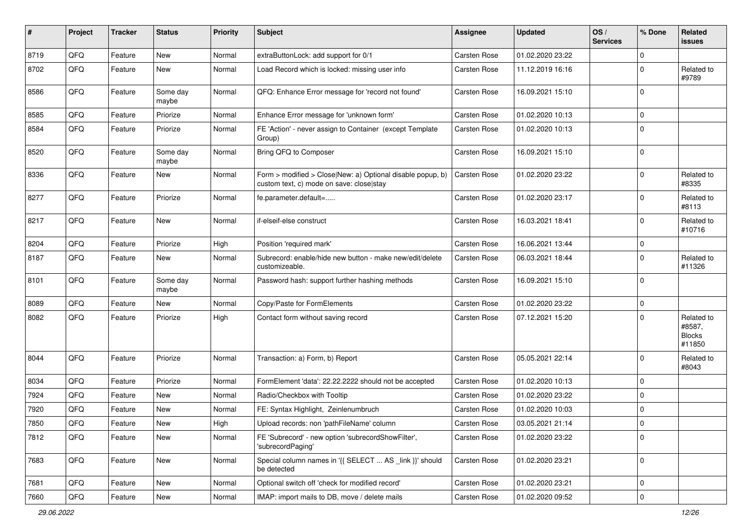| #    | Project | <b>Tracker</b> | <b>Status</b>     | <b>Priority</b> | Subject                                                                                                | <b>Assignee</b>     | <b>Updated</b>   | OS/<br><b>Services</b> | % Done         | Related<br>issues                               |
|------|---------|----------------|-------------------|-----------------|--------------------------------------------------------------------------------------------------------|---------------------|------------------|------------------------|----------------|-------------------------------------------------|
| 8719 | QFQ     | Feature        | New               | Normal          | extraButtonLock: add support for 0/1                                                                   | Carsten Rose        | 01.02.2020 23:22 |                        | $\mathbf{0}$   |                                                 |
| 8702 | QFQ     | Feature        | New               | Normal          | Load Record which is locked: missing user info                                                         | Carsten Rose        | 11.12.2019 16:16 |                        | $\overline{0}$ | Related to<br>#9789                             |
| 8586 | QFQ     | Feature        | Some day<br>maybe | Normal          | QFQ: Enhance Error message for 'record not found'                                                      | Carsten Rose        | 16.09.2021 15:10 |                        | $\overline{0}$ |                                                 |
| 8585 | QFQ     | Feature        | Priorize          | Normal          | Enhance Error message for 'unknown form'                                                               | Carsten Rose        | 01.02.2020 10:13 |                        | $\mathbf 0$    |                                                 |
| 8584 | QFQ     | Feature        | Priorize          | Normal          | FE 'Action' - never assign to Container (except Template<br>Group)                                     | Carsten Rose        | 01.02.2020 10:13 |                        | $\overline{0}$ |                                                 |
| 8520 | QFQ     | Feature        | Some day<br>maybe | Normal          | Bring QFQ to Composer                                                                                  | Carsten Rose        | 16.09.2021 15:10 |                        | $\mathbf 0$    |                                                 |
| 8336 | QFQ     | Feature        | New               | Normal          | Form > modified > Close New: a) Optional disable popup, b)<br>custom text, c) mode on save: close stay | Carsten Rose        | 01.02.2020 23:22 |                        | $\mathbf{0}$   | Related to<br>#8335                             |
| 8277 | QFQ     | Feature        | Priorize          | Normal          | fe.parameter.default=                                                                                  | Carsten Rose        | 01.02.2020 23:17 |                        | $\overline{0}$ | Related to<br>#8113                             |
| 8217 | QFQ     | Feature        | New               | Normal          | if-elseif-else construct                                                                               | Carsten Rose        | 16.03.2021 18:41 |                        | $\overline{0}$ | Related to<br>#10716                            |
| 8204 | QFQ     | Feature        | Priorize          | High            | Position 'required mark'                                                                               | Carsten Rose        | 16.06.2021 13:44 |                        | $\mathbf 0$    |                                                 |
| 8187 | QFQ     | Feature        | New               | Normal          | Subrecord: enable/hide new button - make new/edit/delete<br>customizeable.                             | Carsten Rose        | 06.03.2021 18:44 |                        | $\overline{0}$ | Related to<br>#11326                            |
| 8101 | QFQ     | Feature        | Some day<br>maybe | Normal          | Password hash: support further hashing methods                                                         | Carsten Rose        | 16.09.2021 15:10 |                        | $\mathbf 0$    |                                                 |
| 8089 | QFQ     | Feature        | New               | Normal          | Copy/Paste for FormElements                                                                            | Carsten Rose        | 01.02.2020 23:22 |                        | $\mathbf 0$    |                                                 |
| 8082 | QFQ     | Feature        | Priorize          | High            | Contact form without saving record                                                                     | Carsten Rose        | 07.12.2021 15:20 |                        | $\overline{0}$ | Related to<br>#8587,<br><b>Blocks</b><br>#11850 |
| 8044 | QFQ     | Feature        | Priorize          | Normal          | Transaction: a) Form, b) Report                                                                        | Carsten Rose        | 05.05.2021 22:14 |                        | $\overline{0}$ | Related to<br>#8043                             |
| 8034 | QFQ     | Feature        | Priorize          | Normal          | FormElement 'data': 22.22.2222 should not be accepted                                                  | Carsten Rose        | 01.02.2020 10:13 |                        | $\mathbf 0$    |                                                 |
| 7924 | QFQ     | Feature        | New               | Normal          | Radio/Checkbox with Tooltip                                                                            | Carsten Rose        | 01.02.2020 23:22 |                        | $\mathbf{0}$   |                                                 |
| 7920 | QFQ     | Feature        | New               | Normal          | FE: Syntax Highlight, Zeinlenumbruch                                                                   | Carsten Rose        | 01.02.2020 10:03 |                        | $\mathbf 0$    |                                                 |
| 7850 | QFQ     | Feature        | New               | High            | Upload records: non 'pathFileName' column                                                              | <b>Carsten Rose</b> | 03.05.2021 21:14 |                        | $\Omega$       |                                                 |
| 7812 | QFQ     | Feature        | New               | Normal          | FE 'Subrecord' - new option 'subrecordShowFilter',<br>'subrecordPaging'                                | Carsten Rose        | 01.02.2020 23:22 |                        | $\mathbf 0$    |                                                 |
| 7683 | QFQ     | Feature        | New               | Normal          | Special column names in '{{ SELECT  AS _link }}' should<br>be detected                                 | Carsten Rose        | 01.02.2020 23:21 |                        | $\mathbf 0$    |                                                 |
| 7681 | QFQ     | Feature        | New               | Normal          | Optional switch off 'check for modified record'                                                        | Carsten Rose        | 01.02.2020 23:21 |                        | $\mathbf 0$    |                                                 |
| 7660 | QFQ     | Feature        | New               | Normal          | IMAP: import mails to DB, move / delete mails                                                          | Carsten Rose        | 01.02.2020 09:52 |                        | $\mathbf 0$    |                                                 |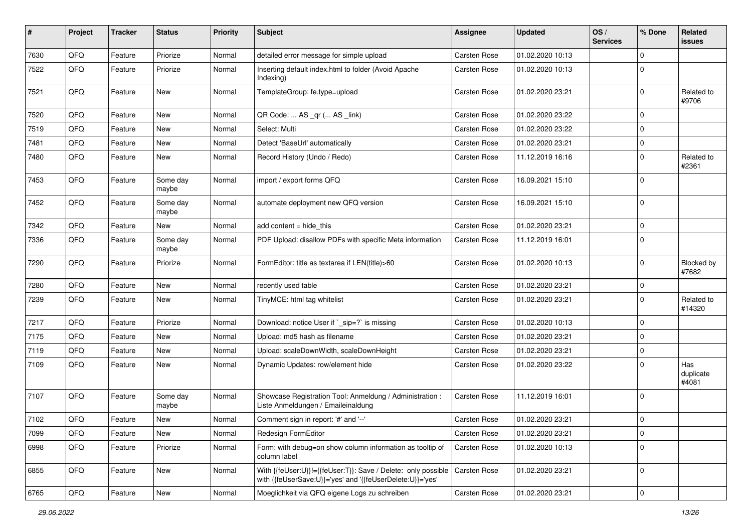| #    | Project | <b>Tracker</b> | <b>Status</b>     | <b>Priority</b> | Subject                                                                                                                    | <b>Assignee</b> | <b>Updated</b>   | OS/<br><b>Services</b> | % Done       | Related<br><b>issues</b>  |
|------|---------|----------------|-------------------|-----------------|----------------------------------------------------------------------------------------------------------------------------|-----------------|------------------|------------------------|--------------|---------------------------|
| 7630 | QFQ     | Feature        | Priorize          | Normal          | detailed error message for simple upload                                                                                   | Carsten Rose    | 01.02.2020 10:13 |                        | $\mathbf 0$  |                           |
| 7522 | QFQ     | Feature        | Priorize          | Normal          | Inserting default index.html to folder (Avoid Apache<br>Indexing)                                                          | Carsten Rose    | 01.02.2020 10:13 |                        | $\mathbf 0$  |                           |
| 7521 | QFQ     | Feature        | New               | Normal          | TemplateGroup: fe.type=upload                                                                                              | Carsten Rose    | 01.02.2020 23:21 |                        | $\mathbf 0$  | Related to<br>#9706       |
| 7520 | QFQ     | Feature        | <b>New</b>        | Normal          | QR Code:  AS _qr ( AS _link)                                                                                               | Carsten Rose    | 01.02.2020 23:22 |                        | $\mathbf 0$  |                           |
| 7519 | QFQ     | Feature        | New               | Normal          | Select: Multi                                                                                                              | Carsten Rose    | 01.02.2020 23:22 |                        | $\mathbf 0$  |                           |
| 7481 | QFQ     | Feature        | New               | Normal          | Detect 'BaseUrl' automatically                                                                                             | Carsten Rose    | 01.02.2020 23:21 |                        | $\mathbf 0$  |                           |
| 7480 | QFQ     | Feature        | New               | Normal          | Record History (Undo / Redo)                                                                                               | Carsten Rose    | 11.12.2019 16:16 |                        | $\mathbf 0$  | Related to<br>#2361       |
| 7453 | QFQ     | Feature        | Some day<br>maybe | Normal          | import / export forms QFQ                                                                                                  | Carsten Rose    | 16.09.2021 15:10 |                        | $\mathbf{0}$ |                           |
| 7452 | QFQ     | Feature        | Some day<br>maybe | Normal          | automate deployment new QFQ version                                                                                        | Carsten Rose    | 16.09.2021 15:10 |                        | $\mathbf 0$  |                           |
| 7342 | QFQ     | Feature        | New               | Normal          | add content = hide_this                                                                                                    | Carsten Rose    | 01.02.2020 23:21 |                        | $\mathbf 0$  |                           |
| 7336 | QFQ     | Feature        | Some day<br>maybe | Normal          | PDF Upload: disallow PDFs with specific Meta information                                                                   | Carsten Rose    | 11.12.2019 16:01 |                        | $\mathbf 0$  |                           |
| 7290 | QFQ     | Feature        | Priorize          | Normal          | FormEditor: title as textarea if LEN(title)>60                                                                             | Carsten Rose    | 01.02.2020 10:13 |                        | $\mathbf 0$  | Blocked by<br>#7682       |
| 7280 | QFQ     | Feature        | New               | Normal          | recently used table                                                                                                        | Carsten Rose    | 01.02.2020 23:21 |                        | $\mathbf 0$  |                           |
| 7239 | QFQ     | Feature        | New               | Normal          | TinyMCE: html tag whitelist                                                                                                | Carsten Rose    | 01.02.2020 23:21 |                        | $\mathbf 0$  | Related to<br>#14320      |
| 7217 | QFQ     | Feature        | Priorize          | Normal          | Download: notice User if `_sip=?` is missing                                                                               | Carsten Rose    | 01.02.2020 10:13 |                        | $\mathbf 0$  |                           |
| 7175 | QFQ     | Feature        | New               | Normal          | Upload: md5 hash as filename                                                                                               | Carsten Rose    | 01.02.2020 23:21 |                        | $\mathbf 0$  |                           |
| 7119 | QFQ     | Feature        | New               | Normal          | Upload: scaleDownWidth, scaleDownHeight                                                                                    | Carsten Rose    | 01.02.2020 23:21 |                        | $\mathbf 0$  |                           |
| 7109 | QFQ     | Feature        | New               | Normal          | Dynamic Updates: row/element hide                                                                                          | Carsten Rose    | 01.02.2020 23:22 |                        | $\mathbf 0$  | Has<br>duplicate<br>#4081 |
| 7107 | QFQ     | Feature        | Some day<br>maybe | Normal          | Showcase Registration Tool: Anmeldung / Administration :<br>Liste Anmeldungen / Emaileinaldung                             | Carsten Rose    | 11.12.2019 16:01 |                        | $\mathbf 0$  |                           |
| 7102 | QFQ     | Feature        | New               | Normal          | Comment sign in report: '#' and '--'                                                                                       | Carsten Rose    | 01.02.2020 23:21 |                        | $\mathbf 0$  |                           |
| 7099 | QFQ     | Feature        | New               | Normal          | Redesign FormEditor                                                                                                        | Carsten Rose    | 01.02.2020 23:21 |                        | $\mathbf 0$  |                           |
| 6998 | QFQ     | Feature        | Priorize          | Normal          | Form: with debug=on show column information as tooltip of<br>column label                                                  | Carsten Rose    | 01.02.2020 10:13 |                        | $\mathbf 0$  |                           |
| 6855 | QFQ     | Feature        | New               | Normal          | With {{feUser:U}}!={{feUser:T}}: Save / Delete: only possible<br>with {{feUserSave:U}}='yes' and '{{feUserDelete:U}}='yes' | Carsten Rose    | 01.02.2020 23:21 |                        | $\mathbf 0$  |                           |
| 6765 | QFG     | Feature        | New               | Normal          | Moeglichkeit via QFQ eigene Logs zu schreiben                                                                              | Carsten Rose    | 01.02.2020 23:21 |                        | $\mathbf 0$  |                           |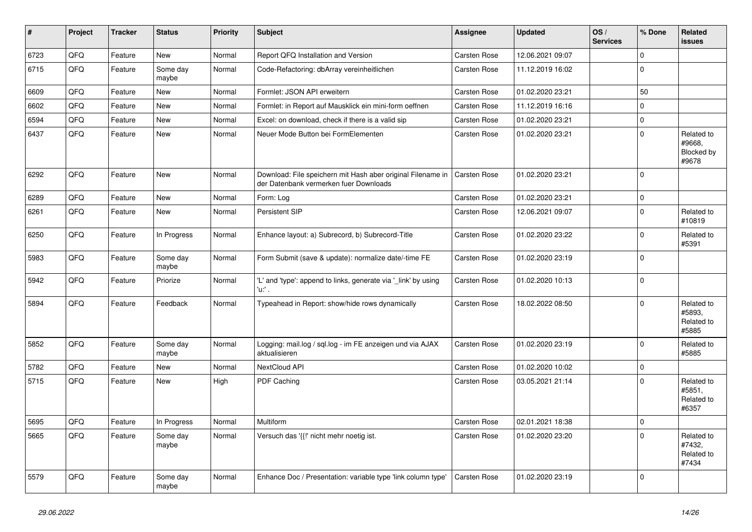| $\vert$ # | Project | <b>Tracker</b> | <b>Status</b>     | Priority | <b>Subject</b>                                                                                        | Assignee            | <b>Updated</b>   | OS/<br><b>Services</b> | % Done      | Related<br><b>issues</b>                    |
|-----------|---------|----------------|-------------------|----------|-------------------------------------------------------------------------------------------------------|---------------------|------------------|------------------------|-------------|---------------------------------------------|
| 6723      | QFQ     | Feature        | <b>New</b>        | Normal   | Report QFQ Installation and Version                                                                   | <b>Carsten Rose</b> | 12.06.2021 09:07 |                        | $\Omega$    |                                             |
| 6715      | QFQ     | Feature        | Some day<br>maybe | Normal   | Code-Refactoring: dbArray vereinheitlichen                                                            | Carsten Rose        | 11.12.2019 16:02 |                        | $\Omega$    |                                             |
| 6609      | QFQ     | Feature        | <b>New</b>        | Normal   | Formlet: JSON API erweitern                                                                           | Carsten Rose        | 01.02.2020 23:21 |                        | 50          |                                             |
| 6602      | QFQ     | Feature        | <b>New</b>        | Normal   | Formlet: in Report auf Mausklick ein mini-form oeffnen                                                | Carsten Rose        | 11.12.2019 16:16 |                        | $\mathbf 0$ |                                             |
| 6594      | QFQ     | Feature        | New               | Normal   | Excel: on download, check if there is a valid sip                                                     | Carsten Rose        | 01.02.2020 23:21 |                        | $\pmb{0}$   |                                             |
| 6437      | QFQ     | Feature        | New               | Normal   | Neuer Mode Button bei FormElementen                                                                   | <b>Carsten Rose</b> | 01.02.2020 23:21 |                        | $\pmb{0}$   | Related to<br>#9668,<br>Blocked by<br>#9678 |
| 6292      | QFQ     | Feature        | <b>New</b>        | Normal   | Download: File speichern mit Hash aber original Filename in<br>der Datenbank vermerken fuer Downloads | Carsten Rose        | 01.02.2020 23:21 |                        | $\mathbf 0$ |                                             |
| 6289      | QFQ     | Feature        | <b>New</b>        | Normal   | Form: Log                                                                                             | Carsten Rose        | 01.02.2020 23:21 |                        | $\mathbf 0$ |                                             |
| 6261      | QFQ     | Feature        | New               | Normal   | Persistent SIP                                                                                        | Carsten Rose        | 12.06.2021 09:07 |                        | $\mathbf 0$ | Related to<br>#10819                        |
| 6250      | QFQ     | Feature        | In Progress       | Normal   | Enhance layout: a) Subrecord, b) Subrecord-Title                                                      | Carsten Rose        | 01.02.2020 23:22 |                        | $\pmb{0}$   | Related to<br>#5391                         |
| 5983      | QFQ     | Feature        | Some day<br>maybe | Normal   | Form Submit (save & update): normalize date/-time FE                                                  | Carsten Rose        | 01.02.2020 23:19 |                        | $\mathbf 0$ |                                             |
| 5942      | QFQ     | Feature        | Priorize          | Normal   | 'L' and 'type': append to links, generate via '_link' by using<br>'u.' .                              | Carsten Rose        | 01.02.2020 10:13 |                        | $\mathbf 0$ |                                             |
| 5894      | QFQ     | Feature        | Feedback          | Normal   | Typeahead in Report: show/hide rows dynamically                                                       | Carsten Rose        | 18.02.2022 08:50 |                        | $\Omega$    | Related to<br>#5893,<br>Related to<br>#5885 |
| 5852      | QFQ     | Feature        | Some day<br>maybe | Normal   | Logging: mail.log / sql.log - im FE anzeigen und via AJAX<br>aktualisieren                            | Carsten Rose        | 01.02.2020 23:19 |                        | $\mathbf 0$ | Related to<br>#5885                         |
| 5782      | QFQ     | Feature        | New               | Normal   | NextCloud API                                                                                         | Carsten Rose        | 01.02.2020 10:02 |                        | $\pmb{0}$   |                                             |
| 5715      | QFQ     | Feature        | New               | High     | PDF Caching                                                                                           | Carsten Rose        | 03.05.2021 21:14 |                        | $\mathbf 0$ | Related to<br>#5851,<br>Related to<br>#6357 |
| 5695      | QFQ     | Feature        | In Progress       | Normal   | Multiform                                                                                             | <b>Carsten Rose</b> | 02.01.2021 18:38 |                        | $\pmb{0}$   |                                             |
| 5665      | QFQ     | Feature        | Some day<br>maybe | Normal   | Versuch das '{{!' nicht mehr noetig ist.                                                              | Carsten Rose        | 01.02.2020 23:20 |                        | $\mathbf 0$ | Related to<br>#7432.<br>Related to<br>#7434 |
| 5579      | QFQ     | Feature        | Some day<br>maybe | Normal   | Enhance Doc / Presentation: variable type 'link column type'                                          | <b>Carsten Rose</b> | 01.02.2020 23:19 |                        | $\mathbf 0$ |                                             |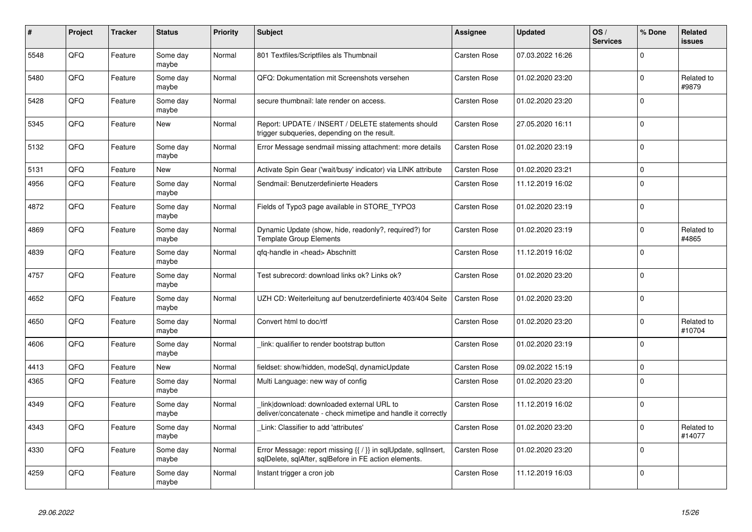| $\pmb{\sharp}$ | Project | <b>Tracker</b> | <b>Status</b>     | <b>Priority</b> | <b>Subject</b>                                                                                                          | Assignee     | <b>Updated</b>   | OS/<br><b>Services</b> | % Done         | <b>Related</b><br><b>issues</b> |
|----------------|---------|----------------|-------------------|-----------------|-------------------------------------------------------------------------------------------------------------------------|--------------|------------------|------------------------|----------------|---------------------------------|
| 5548           | QFQ     | Feature        | Some day<br>maybe | Normal          | 801 Textfiles/Scriptfiles als Thumbnail                                                                                 | Carsten Rose | 07.03.2022 16:26 |                        | $\mathbf{0}$   |                                 |
| 5480           | QFQ     | Feature        | Some day<br>maybe | Normal          | QFQ: Dokumentation mit Screenshots versehen                                                                             | Carsten Rose | 01.02.2020 23:20 |                        | $\mathbf{0}$   | Related to<br>#9879             |
| 5428           | QFQ     | Feature        | Some day<br>maybe | Normal          | secure thumbnail: late render on access.                                                                                | Carsten Rose | 01.02.2020 23:20 |                        | $\overline{0}$ |                                 |
| 5345           | QFQ     | Feature        | New               | Normal          | Report: UPDATE / INSERT / DELETE statements should<br>trigger subqueries, depending on the result.                      | Carsten Rose | 27.05.2020 16:11 |                        | $\overline{0}$ |                                 |
| 5132           | QFQ     | Feature        | Some day<br>maybe | Normal          | Error Message sendmail missing attachment: more details                                                                 | Carsten Rose | 01.02.2020 23:19 |                        | $\mathbf{0}$   |                                 |
| 5131           | QFQ     | Feature        | New               | Normal          | Activate Spin Gear ('wait/busy' indicator) via LINK attribute                                                           | Carsten Rose | 01.02.2020 23:21 |                        | $\mathbf 0$    |                                 |
| 4956           | QFQ     | Feature        | Some day<br>maybe | Normal          | Sendmail: Benutzerdefinierte Headers                                                                                    | Carsten Rose | 11.12.2019 16:02 |                        | $\Omega$       |                                 |
| 4872           | QFQ     | Feature        | Some day<br>maybe | Normal          | Fields of Typo3 page available in STORE_TYPO3                                                                           | Carsten Rose | 01.02.2020 23:19 |                        | $\mathbf 0$    |                                 |
| 4869           | QFQ     | Feature        | Some day<br>maybe | Normal          | Dynamic Update (show, hide, readonly?, required?) for<br><b>Template Group Elements</b>                                 | Carsten Rose | 01.02.2020 23:19 |                        | $\mathbf{0}$   | Related to<br>#4865             |
| 4839           | QFQ     | Feature        | Some day<br>maybe | Normal          | qfq-handle in <head> Abschnitt</head>                                                                                   | Carsten Rose | 11.12.2019 16:02 |                        | $\Omega$       |                                 |
| 4757           | QFQ     | Feature        | Some day<br>maybe | Normal          | Test subrecord: download links ok? Links ok?                                                                            | Carsten Rose | 01.02.2020 23:20 |                        | $\overline{0}$ |                                 |
| 4652           | QFQ     | Feature        | Some day<br>maybe | Normal          | UZH CD: Weiterleitung auf benutzerdefinierte 403/404 Seite                                                              | Carsten Rose | 01.02.2020 23:20 |                        | $\mathbf{0}$   |                                 |
| 4650           | QFQ     | Feature        | Some day<br>maybe | Normal          | Convert html to doc/rtf                                                                                                 | Carsten Rose | 01.02.2020 23:20 |                        | $\mathbf{0}$   | Related to<br>#10704            |
| 4606           | QFQ     | Feature        | Some day<br>maybe | Normal          | link: qualifier to render bootstrap button                                                                              | Carsten Rose | 01.02.2020 23:19 |                        | $\pmb{0}$      |                                 |
| 4413           | QFQ     | Feature        | New               | Normal          | fieldset: show/hidden, modeSql, dynamicUpdate                                                                           | Carsten Rose | 09.02.2022 15:19 |                        | $\mathbf{0}$   |                                 |
| 4365           | QFQ     | Feature        | Some day<br>maybe | Normal          | Multi Language: new way of config                                                                                       | Carsten Rose | 01.02.2020 23:20 |                        | $\mathbf{0}$   |                                 |
| 4349           | QFQ     | Feature        | Some day<br>maybe | Normal          | link download: downloaded external URL to<br>deliver/concatenate - check mimetipe and handle it correctly               | Carsten Rose | 11.12.2019 16:02 |                        | $\mathbf{0}$   |                                 |
| 4343           | QFQ     | Feature        | Some day<br>maybe | Normal          | Link: Classifier to add 'attributes'                                                                                    | Carsten Rose | 01.02.2020 23:20 |                        | $\mathbf{0}$   | Related to<br>#14077            |
| 4330           | QFQ     | Feature        | Some day<br>maybe | Normal          | Error Message: report missing {{ / }} in sqlUpdate, sqlInsert,<br>sqlDelete, sqlAfter, sqlBefore in FE action elements. | Carsten Rose | 01.02.2020 23:20 |                        | $\mathbf 0$    |                                 |
| 4259           | QFQ     | Feature        | Some day<br>maybe | Normal          | Instant trigger a cron job                                                                                              | Carsten Rose | 11.12.2019 16:03 |                        | $\overline{0}$ |                                 |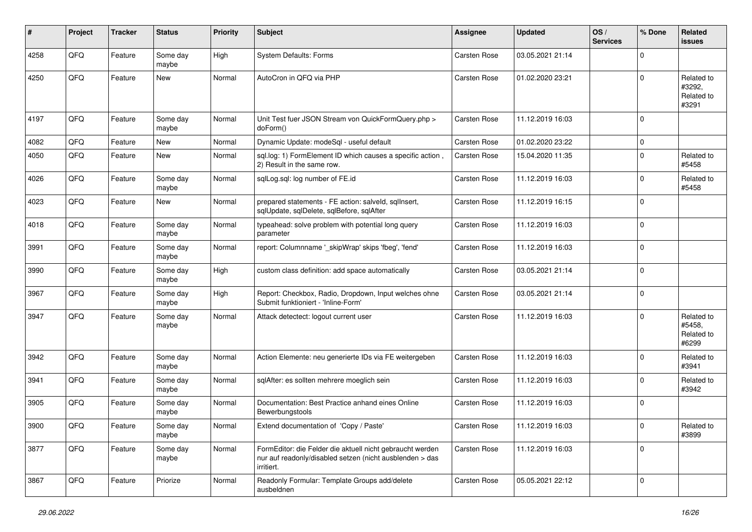| ∦    | Project | <b>Tracker</b> | <b>Status</b>     | <b>Priority</b> | Subject                                                                                                                             | Assignee     | <b>Updated</b>   | OS/<br><b>Services</b> | % Done      | <b>Related</b><br>issues                    |
|------|---------|----------------|-------------------|-----------------|-------------------------------------------------------------------------------------------------------------------------------------|--------------|------------------|------------------------|-------------|---------------------------------------------|
| 4258 | QFQ     | Feature        | Some day<br>maybe | High            | <b>System Defaults: Forms</b>                                                                                                       | Carsten Rose | 03.05.2021 21:14 |                        | $\Omega$    |                                             |
| 4250 | QFQ     | Feature        | New               | Normal          | AutoCron in QFQ via PHP                                                                                                             | Carsten Rose | 01.02.2020 23:21 |                        | $\Omega$    | Related to<br>#3292,<br>Related to<br>#3291 |
| 4197 | QFQ     | Feature        | Some day<br>maybe | Normal          | Unit Test fuer JSON Stream von QuickFormQuery.php ><br>doForm()                                                                     | Carsten Rose | 11.12.2019 16:03 |                        | $\Omega$    |                                             |
| 4082 | QFQ     | Feature        | New               | Normal          | Dynamic Update: modeSql - useful default                                                                                            | Carsten Rose | 01.02.2020 23:22 |                        | $\mathbf 0$ |                                             |
| 4050 | QFQ     | Feature        | <b>New</b>        | Normal          | sql.log: 1) FormElement ID which causes a specific action,<br>2) Result in the same row.                                            | Carsten Rose | 15.04.2020 11:35 |                        | $\mathbf 0$ | Related to<br>#5458                         |
| 4026 | QFQ     | Feature        | Some day<br>maybe | Normal          | sqlLog.sql: log number of FE.id                                                                                                     | Carsten Rose | 11.12.2019 16:03 |                        | $\mathbf 0$ | Related to<br>#5458                         |
| 4023 | QFQ     | Feature        | New               | Normal          | prepared statements - FE action: salveld, sqlInsert,<br>sqlUpdate, sqlDelete, sqlBefore, sqlAfter                                   | Carsten Rose | 11.12.2019 16:15 |                        | $\Omega$    |                                             |
| 4018 | QFQ     | Feature        | Some day<br>maybe | Normal          | typeahead: solve problem with potential long query<br>parameter                                                                     | Carsten Rose | 11.12.2019 16:03 |                        | $\Omega$    |                                             |
| 3991 | QFQ     | Feature        | Some day<br>maybe | Normal          | report: Columnname '_skipWrap' skips 'fbeg', 'fend'                                                                                 | Carsten Rose | 11.12.2019 16:03 |                        | $\mathbf 0$ |                                             |
| 3990 | QFQ     | Feature        | Some day<br>maybe | High            | custom class definition: add space automatically                                                                                    | Carsten Rose | 03.05.2021 21:14 |                        | $\mathbf 0$ |                                             |
| 3967 | QFQ     | Feature        | Some day<br>maybe | High            | Report: Checkbox, Radio, Dropdown, Input welches ohne<br>Submit funktioniert - 'Inline-Form'                                        | Carsten Rose | 03.05.2021 21:14 |                        | $\Omega$    |                                             |
| 3947 | QFQ     | Feature        | Some day<br>maybe | Normal          | Attack detectect: logout current user                                                                                               | Carsten Rose | 11.12.2019 16:03 |                        | $\Omega$    | Related to<br>#5458,<br>Related to<br>#6299 |
| 3942 | QFQ     | Feature        | Some day<br>maybe | Normal          | Action Elemente: neu generierte IDs via FE weitergeben                                                                              | Carsten Rose | 11.12.2019 16:03 |                        | $\Omega$    | Related to<br>#3941                         |
| 3941 | QFQ     | Feature        | Some day<br>maybe | Normal          | sqlAfter: es sollten mehrere moeglich sein                                                                                          | Carsten Rose | 11.12.2019 16:03 |                        | $\Omega$    | Related to<br>#3942                         |
| 3905 | QFQ     | Feature        | Some day<br>maybe | Normal          | Documentation: Best Practice anhand eines Online<br>Bewerbungstools                                                                 | Carsten Rose | 11.12.2019 16:03 |                        | $\Omega$    |                                             |
| 3900 | QFQ     | Feature        | Some day<br>maybe | Normal          | Extend documentation of 'Copy / Paste'                                                                                              | Carsten Rose | 11.12.2019 16:03 |                        | $\pmb{0}$   | Related to<br>#3899                         |
| 3877 | QFQ     | Feature        | Some day<br>maybe | Normal          | FormEditor: die Felder die aktuell nicht gebraucht werden<br>nur auf readonly/disabled setzen (nicht ausblenden > das<br>irritiert. | Carsten Rose | 11.12.2019 16:03 |                        | $\mathbf 0$ |                                             |
| 3867 | QFQ     | Feature        | Priorize          | Normal          | Readonly Formular: Template Groups add/delete<br>ausbeldnen                                                                         | Carsten Rose | 05.05.2021 22:12 |                        | $\Omega$    |                                             |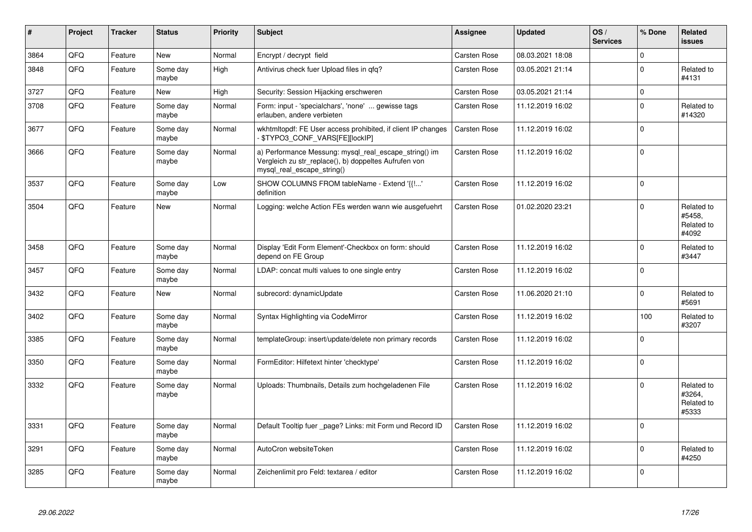| #    | Project | <b>Tracker</b> | <b>Status</b>     | <b>Priority</b> | <b>Subject</b>                                                                                                                               | Assignee     | <b>Updated</b>   | OS/<br><b>Services</b> | % Done      | Related<br><b>issues</b>                    |
|------|---------|----------------|-------------------|-----------------|----------------------------------------------------------------------------------------------------------------------------------------------|--------------|------------------|------------------------|-------------|---------------------------------------------|
| 3864 | QFQ     | Feature        | <b>New</b>        | Normal          | Encrypt / decrypt field                                                                                                                      | Carsten Rose | 08.03.2021 18:08 |                        | $\mathbf 0$ |                                             |
| 3848 | QFQ     | Feature        | Some day<br>maybe | High            | Antivirus check fuer Upload files in qfq?                                                                                                    | Carsten Rose | 03.05.2021 21:14 |                        | $\mathbf 0$ | Related to<br>#4131                         |
| 3727 | QFQ     | Feature        | <b>New</b>        | High            | Security: Session Hijacking erschweren                                                                                                       | Carsten Rose | 03.05.2021 21:14 |                        | $\pmb{0}$   |                                             |
| 3708 | QFQ     | Feature        | Some day<br>maybe | Normal          | Form: input - 'specialchars', 'none'  gewisse tags<br>erlauben, andere verbieten                                                             | Carsten Rose | 11.12.2019 16:02 |                        | $\Omega$    | Related to<br>#14320                        |
| 3677 | QFQ     | Feature        | Some day<br>maybe | Normal          | wkhtmltopdf: FE User access prohibited, if client IP changes<br>- \$TYPO3_CONF_VARS[FE][lockIP]                                              | Carsten Rose | 11.12.2019 16:02 |                        | $\mathbf 0$ |                                             |
| 3666 | QFQ     | Feature        | Some day<br>maybe | Normal          | a) Performance Messung: mysql_real_escape_string() im<br>Vergleich zu str_replace(), b) doppeltes Aufrufen von<br>mysgl real escape string() | Carsten Rose | 11.12.2019 16:02 |                        | $\mathbf 0$ |                                             |
| 3537 | QFQ     | Feature        | Some day<br>maybe | Low             | SHOW COLUMNS FROM tableName - Extend '{{!'<br>definition                                                                                     | Carsten Rose | 11.12.2019 16:02 |                        | $\mathbf 0$ |                                             |
| 3504 | QFQ     | Feature        | New               | Normal          | Logging: welche Action FEs werden wann wie ausgefuehrt                                                                                       | Carsten Rose | 01.02.2020 23:21 |                        | $\Omega$    | Related to<br>#5458,<br>Related to<br>#4092 |
| 3458 | QFQ     | Feature        | Some day<br>maybe | Normal          | Display 'Edit Form Element'-Checkbox on form: should<br>depend on FE Group                                                                   | Carsten Rose | 11.12.2019 16:02 |                        | $\mathbf 0$ | Related to<br>#3447                         |
| 3457 | QFQ     | Feature        | Some day<br>maybe | Normal          | LDAP: concat multi values to one single entry                                                                                                | Carsten Rose | 11.12.2019 16:02 |                        | $\mathbf 0$ |                                             |
| 3432 | QFQ     | Feature        | New               | Normal          | subrecord: dynamicUpdate                                                                                                                     | Carsten Rose | 11.06.2020 21:10 |                        | $\pmb{0}$   | Related to<br>#5691                         |
| 3402 | QFQ     | Feature        | Some day<br>maybe | Normal          | Syntax Highlighting via CodeMirror                                                                                                           | Carsten Rose | 11.12.2019 16:02 |                        | 100         | Related to<br>#3207                         |
| 3385 | QFQ     | Feature        | Some day<br>maybe | Normal          | templateGroup: insert/update/delete non primary records                                                                                      | Carsten Rose | 11.12.2019 16:02 |                        | $\mathbf 0$ |                                             |
| 3350 | QFQ     | Feature        | Some day<br>maybe | Normal          | FormEditor: Hilfetext hinter 'checktype'                                                                                                     | Carsten Rose | 11.12.2019 16:02 |                        | $\mathbf 0$ |                                             |
| 3332 | QFQ     | Feature        | Some day<br>maybe | Normal          | Uploads: Thumbnails, Details zum hochgeladenen File                                                                                          | Carsten Rose | 11.12.2019 16:02 |                        | $\Omega$    | Related to<br>#3264,<br>Related to<br>#5333 |
| 3331 | QFQ     | Feature        | Some day<br>maybe | Normal          | Default Tooltip fuer _page? Links: mit Form und Record ID                                                                                    | Carsten Rose | 11.12.2019 16:02 |                        | $\mathbf 0$ |                                             |
| 3291 | QFQ     | Feature        | Some day<br>maybe | Normal          | AutoCron websiteToken                                                                                                                        | Carsten Rose | 11.12.2019 16:02 |                        | $\pmb{0}$   | Related to<br>#4250                         |
| 3285 | QFQ     | Feature        | Some day<br>maybe | Normal          | Zeichenlimit pro Feld: textarea / editor                                                                                                     | Carsten Rose | 11.12.2019 16:02 |                        | $\mathbf 0$ |                                             |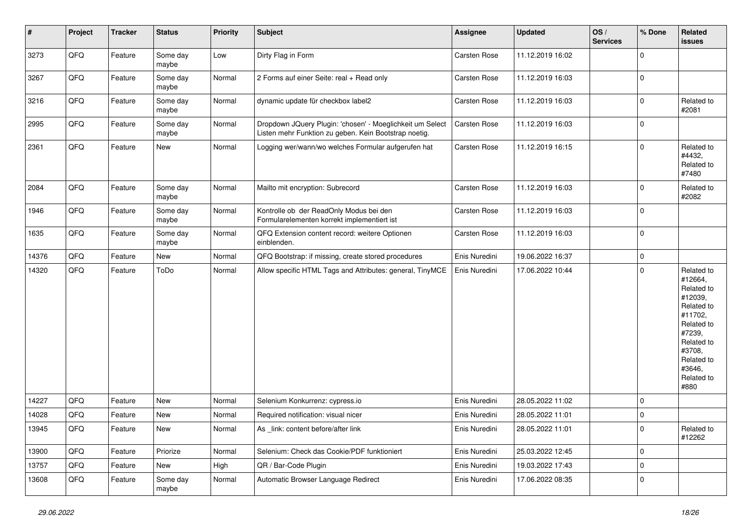| $\vert$ # | Project | <b>Tracker</b> | <b>Status</b>     | <b>Priority</b> | <b>Subject</b>                                                                                                     | <b>Assignee</b> | <b>Updated</b>   | OS/<br><b>Services</b> | % Done      | Related<br><b>issues</b>                                                                                                                                              |
|-----------|---------|----------------|-------------------|-----------------|--------------------------------------------------------------------------------------------------------------------|-----------------|------------------|------------------------|-------------|-----------------------------------------------------------------------------------------------------------------------------------------------------------------------|
| 3273      | QFQ     | Feature        | Some day<br>maybe | Low             | Dirty Flag in Form                                                                                                 | Carsten Rose    | 11.12.2019 16:02 |                        | $\mathbf 0$ |                                                                                                                                                                       |
| 3267      | QFQ     | Feature        | Some day<br>maybe | Normal          | 2 Forms auf einer Seite: real + Read only                                                                          | Carsten Rose    | 11.12.2019 16:03 |                        | $\pmb{0}$   |                                                                                                                                                                       |
| 3216      | QFQ     | Feature        | Some day<br>maybe | Normal          | dynamic update für checkbox label2                                                                                 | Carsten Rose    | 11.12.2019 16:03 |                        | $\pmb{0}$   | Related to<br>#2081                                                                                                                                                   |
| 2995      | QFQ     | Feature        | Some day<br>maybe | Normal          | Dropdown JQuery Plugin: 'chosen' - Moeglichkeit um Select<br>Listen mehr Funktion zu geben. Kein Bootstrap noetig. | Carsten Rose    | 11.12.2019 16:03 |                        | $\mathbf 0$ |                                                                                                                                                                       |
| 2361      | QFQ     | Feature        | New               | Normal          | Logging wer/wann/wo welches Formular aufgerufen hat                                                                | Carsten Rose    | 11.12.2019 16:15 |                        | $\pmb{0}$   | Related to<br>#4432,<br>Related to<br>#7480                                                                                                                           |
| 2084      | QFQ     | Feature        | Some day<br>maybe | Normal          | Mailto mit encryption: Subrecord                                                                                   | Carsten Rose    | 11.12.2019 16:03 |                        | $\pmb{0}$   | Related to<br>#2082                                                                                                                                                   |
| 1946      | QFQ     | Feature        | Some day<br>maybe | Normal          | Kontrolle ob der ReadOnly Modus bei den<br>Formularelementen korrekt implementiert ist                             | Carsten Rose    | 11.12.2019 16:03 |                        | $\mathbf 0$ |                                                                                                                                                                       |
| 1635      | QFQ     | Feature        | Some day<br>maybe | Normal          | QFQ Extension content record: weitere Optionen<br>einblenden.                                                      | Carsten Rose    | 11.12.2019 16:03 |                        | $\pmb{0}$   |                                                                                                                                                                       |
| 14376     | QFQ     | Feature        | <b>New</b>        | Normal          | QFQ Bootstrap: if missing, create stored procedures                                                                | Enis Nuredini   | 19.06.2022 16:37 |                        | $\pmb{0}$   |                                                                                                                                                                       |
| 14320     | QFQ     | Feature        | ToDo              | Normal          | Allow specific HTML Tags and Attributes: general, TinyMCE                                                          | Enis Nuredini   | 17.06.2022 10:44 |                        | $\pmb{0}$   | Related to<br>#12664,<br>Related to<br>#12039,<br>Related to<br>#11702,<br>Related to<br>#7239,<br>Related to<br>#3708,<br>Related to<br>#3646,<br>Related to<br>#880 |
| 14227     | QFQ     | Feature        | <b>New</b>        | Normal          | Selenium Konkurrenz: cypress.io                                                                                    | Enis Nuredini   | 28.05.2022 11:02 |                        | $\mathbf 0$ |                                                                                                                                                                       |
| 14028     | QFQ     | Feature        | <b>New</b>        | Normal          | Required notification: visual nicer                                                                                | Enis Nuredini   | 28.05.2022 11:01 |                        | $\pmb{0}$   |                                                                                                                                                                       |
| 13945     | QFQ     | Feature        | <b>New</b>        | Normal          | As _link: content before/after link                                                                                | Enis Nuredini   | 28.05.2022 11:01 |                        | $\mathbf 0$ | Related to<br>#12262                                                                                                                                                  |
| 13900     | QFQ     | Feature        | Priorize          | Normal          | Selenium: Check das Cookie/PDF funktioniert                                                                        | Enis Nuredini   | 25.03.2022 12:45 |                        | $\mathbf 0$ |                                                                                                                                                                       |
| 13757     | QFQ     | Feature        | New               | High            | QR / Bar-Code Plugin                                                                                               | Enis Nuredini   | 19.03.2022 17:43 |                        | $\pmb{0}$   |                                                                                                                                                                       |
| 13608     | QFQ     | Feature        | Some day<br>maybe | Normal          | Automatic Browser Language Redirect                                                                                | Enis Nuredini   | 17.06.2022 08:35 |                        | $\mathbf 0$ |                                                                                                                                                                       |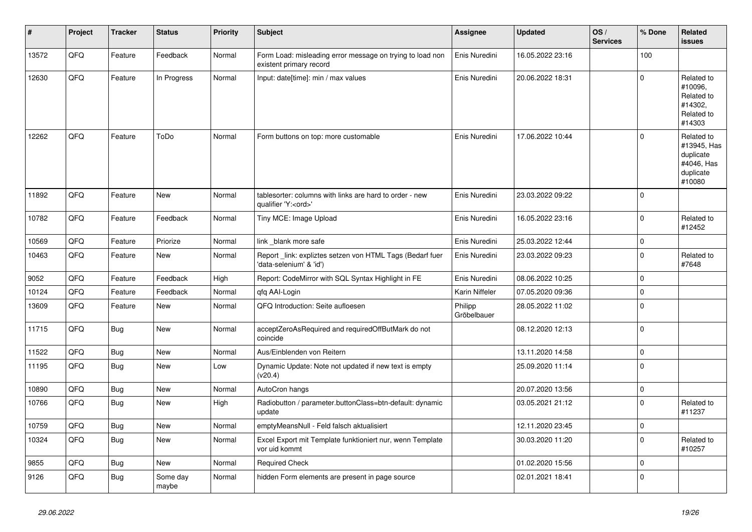| $\sharp$ | Project | <b>Tracker</b> | <b>Status</b>     | <b>Priority</b> | <b>Subject</b>                                                                        | Assignee               | <b>Updated</b>   | OS/<br><b>Services</b> | % Done      | <b>Related</b><br>issues                                                    |
|----------|---------|----------------|-------------------|-----------------|---------------------------------------------------------------------------------------|------------------------|------------------|------------------------|-------------|-----------------------------------------------------------------------------|
| 13572    | QFQ     | Feature        | Feedback          | Normal          | Form Load: misleading error message on trying to load non<br>existent primary record  | Enis Nuredini          | 16.05.2022 23:16 |                        | 100         |                                                                             |
| 12630    | QFQ     | Feature        | In Progress       | Normal          | Input: date[time]: min / max values                                                   | Enis Nuredini          | 20.06.2022 18:31 |                        | $\mathbf 0$ | Related to<br>#10096,<br>Related to<br>#14302,<br>Related to<br>#14303      |
| 12262    | QFQ     | Feature        | ToDo              | Normal          | Form buttons on top: more customable                                                  | Enis Nuredini          | 17.06.2022 10:44 |                        | $\Omega$    | Related to<br>#13945, Has<br>duplicate<br>#4046, Has<br>duplicate<br>#10080 |
| 11892    | QFQ     | Feature        | New               | Normal          | tablesorter: columns with links are hard to order - new<br>qualifier 'Y: <ord>'</ord> | Enis Nuredini          | 23.03.2022 09:22 |                        | $\mathbf 0$ |                                                                             |
| 10782    | QFQ     | Feature        | Feedback          | Normal          | Tiny MCE: Image Upload                                                                | Enis Nuredini          | 16.05.2022 23:16 |                        | $\pmb{0}$   | Related to<br>#12452                                                        |
| 10569    | QFQ     | Feature        | Priorize          | Normal          | link blank more safe                                                                  | Enis Nuredini          | 25.03.2022 12:44 |                        | $\pmb{0}$   |                                                                             |
| 10463    | QFQ     | Feature        | <b>New</b>        | Normal          | Report_link: expliztes setzen von HTML Tags (Bedarf fuer<br>'data-selenium' & 'id')   | Enis Nuredini          | 23.03.2022 09:23 |                        | $\Omega$    | Related to<br>#7648                                                         |
| 9052     | QFQ     | Feature        | Feedback          | High            | Report: CodeMirror with SQL Syntax Highlight in FE                                    | Enis Nuredini          | 08.06.2022 10:25 |                        | 0           |                                                                             |
| 10124    | QFQ     | Feature        | Feedback          | Normal          | qfq AAI-Login                                                                         | Karin Niffeler         | 07.05.2020 09:36 |                        | $\mathbf 0$ |                                                                             |
| 13609    | QFQ     | Feature        | New               | Normal          | QFQ Introduction: Seite aufloesen                                                     | Philipp<br>Gröbelbauer | 28.05.2022 11:02 |                        | $\pmb{0}$   |                                                                             |
| 11715    | QFQ     | Bug            | New               | Normal          | acceptZeroAsRequired and requiredOffButMark do not<br>coincide                        |                        | 08.12.2020 12:13 |                        | $\pmb{0}$   |                                                                             |
| 11522    | QFQ     | Bug            | <b>New</b>        | Normal          | Aus/Einblenden von Reitern                                                            |                        | 13.11.2020 14:58 |                        | $\pmb{0}$   |                                                                             |
| 11195    | QFQ     | Bug            | <b>New</b>        | Low             | Dynamic Update: Note not updated if new text is empty<br>(v20.4)                      |                        | 25.09.2020 11:14 |                        | $\mathbf 0$ |                                                                             |
| 10890    | QFQ     | Bug            | New               | Normal          | AutoCron hangs                                                                        |                        | 20.07.2020 13:56 |                        | $\pmb{0}$   |                                                                             |
| 10766    | QFQ     | Bug            | New               | High            | Radiobutton / parameter.buttonClass=btn-default: dynamic<br>update                    |                        | 03.05.2021 21:12 |                        | $\pmb{0}$   | Related to<br>#11237                                                        |
| 10759    | QFQ     | Bug            | New               | Normal          | emptyMeansNull - Feld falsch aktualisiert                                             |                        | 12.11.2020 23:45 |                        | $\mathbf 0$ |                                                                             |
| 10324    | QFQ     | Bug            | New               | Normal          | Excel Export mit Template funktioniert nur, wenn Template<br>vor uid kommt            |                        | 30.03.2020 11:20 |                        | $\mathbf 0$ | Related to<br>#10257                                                        |
| 9855     | QFQ     | Bug            | <b>New</b>        | Normal          | <b>Required Check</b>                                                                 |                        | 01.02.2020 15:56 |                        | $\pmb{0}$   |                                                                             |
| 9126     | QFQ     | Bug            | Some day<br>maybe | Normal          | hidden Form elements are present in page source                                       |                        | 02.01.2021 18:41 |                        | $\Omega$    |                                                                             |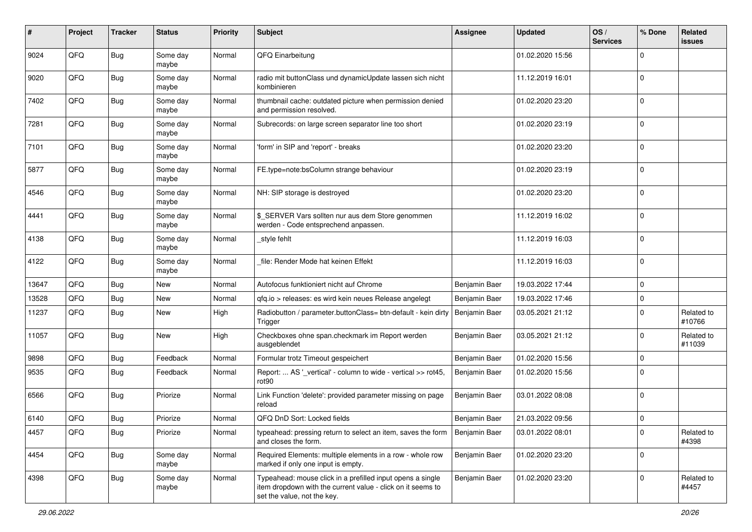| $\pmb{\#}$ | Project | <b>Tracker</b> | <b>Status</b>     | <b>Priority</b> | <b>Subject</b>                                                                                                                                           | <b>Assignee</b> | <b>Updated</b>   | OS/<br><b>Services</b> | % Done         | Related<br><b>issues</b> |
|------------|---------|----------------|-------------------|-----------------|----------------------------------------------------------------------------------------------------------------------------------------------------------|-----------------|------------------|------------------------|----------------|--------------------------|
| 9024       | QFQ     | Bug            | Some day<br>maybe | Normal          | QFQ Einarbeitung                                                                                                                                         |                 | 01.02.2020 15:56 |                        | $\mathbf 0$    |                          |
| 9020       | QFQ     | Bug            | Some day<br>maybe | Normal          | radio mit buttonClass und dynamicUpdate lassen sich nicht<br>kombinieren                                                                                 |                 | 11.12.2019 16:01 |                        | $\mathbf 0$    |                          |
| 7402       | QFQ     | <b>Bug</b>     | Some day<br>maybe | Normal          | thumbnail cache: outdated picture when permission denied<br>and permission resolved.                                                                     |                 | 01.02.2020 23:20 |                        | $\mathbf 0$    |                          |
| 7281       | QFQ     | <b>Bug</b>     | Some day<br>maybe | Normal          | Subrecords: on large screen separator line too short                                                                                                     |                 | 01.02.2020 23:19 |                        | $\mathbf 0$    |                          |
| 7101       | QFQ     | <b>Bug</b>     | Some day<br>maybe | Normal          | 'form' in SIP and 'report' - breaks                                                                                                                      |                 | 01.02.2020 23:20 |                        | $\mathbf 0$    |                          |
| 5877       | QFQ     | <b>Bug</b>     | Some day<br>maybe | Normal          | FE.type=note:bsColumn strange behaviour                                                                                                                  |                 | 01.02.2020 23:19 |                        | $\mathbf{0}$   |                          |
| 4546       | QFQ     | Bug            | Some day<br>maybe | Normal          | NH: SIP storage is destroyed                                                                                                                             |                 | 01.02.2020 23:20 |                        | $\mathbf 0$    |                          |
| 4441       | QFQ     | Bug            | Some day<br>maybe | Normal          | \$_SERVER Vars sollten nur aus dem Store genommen<br>werden - Code entsprechend anpassen.                                                                |                 | 11.12.2019 16:02 |                        | $\mathbf 0$    |                          |
| 4138       | QFQ     | Bug            | Some day<br>maybe | Normal          | _style fehlt                                                                                                                                             |                 | 11.12.2019 16:03 |                        | $\mathbf 0$    |                          |
| 4122       | QFQ     | <b>Bug</b>     | Some day<br>maybe | Normal          | file: Render Mode hat keinen Effekt                                                                                                                      |                 | 11.12.2019 16:03 |                        | $\mathbf 0$    |                          |
| 13647      | QFQ     | Bug            | New               | Normal          | Autofocus funktioniert nicht auf Chrome                                                                                                                  | Benjamin Baer   | 19.03.2022 17:44 |                        | $\mathbf 0$    |                          |
| 13528      | QFQ     | <b>Bug</b>     | <b>New</b>        | Normal          | qfq.io > releases: es wird kein neues Release angelegt                                                                                                   | Benjamin Baer   | 19.03.2022 17:46 |                        | $\mathbf 0$    |                          |
| 11237      | QFQ     | Bug            | <b>New</b>        | High            | Radiobutton / parameter.buttonClass= btn-default - kein dirty<br>Trigger                                                                                 | Benjamin Baer   | 03.05.2021 21:12 |                        | $\mathbf 0$    | Related to<br>#10766     |
| 11057      | QFQ     | Bug            | New               | High            | Checkboxes ohne span.checkmark im Report werden<br>ausgeblendet                                                                                          | Benjamin Baer   | 03.05.2021 21:12 |                        | $\mathbf 0$    | Related to<br>#11039     |
| 9898       | QFQ     | <b>Bug</b>     | Feedback          | Normal          | Formular trotz Timeout gespeichert                                                                                                                       | Benjamin Baer   | 01.02.2020 15:56 |                        | 0              |                          |
| 9535       | QFQ     | Bug            | Feedback          | Normal          | Report:  AS '_vertical' - column to wide - vertical >> rot45,<br>rot90                                                                                   | Benjamin Baer   | 01.02.2020 15:56 |                        | $\overline{0}$ |                          |
| 6566       | QFQ     | Bug            | Priorize          | Normal          | Link Function 'delete': provided parameter missing on page<br>reload                                                                                     | Benjamin Baer   | 03.01.2022 08:08 |                        | $\overline{0}$ |                          |
| 6140       | QFQ     | <b>Bug</b>     | Priorize          | Normal          | QFQ DnD Sort: Locked fields                                                                                                                              | Benjamin Baer   | 21.03.2022 09:56 |                        | $\mathbf 0$    |                          |
| 4457       | QFG     | <b>Bug</b>     | Priorize          | Normal          | typeahead: pressing return to select an item, saves the form<br>and closes the form.                                                                     | Benjamin Baer   | 03.01.2022 08:01 |                        | $\mathbf 0$    | Related to<br>#4398      |
| 4454       | QFG     | <b>Bug</b>     | Some day<br>maybe | Normal          | Required Elements: multiple elements in a row - whole row<br>marked if only one input is empty.                                                          | Benjamin Baer   | 01.02.2020 23:20 |                        | $\mathbf 0$    |                          |
| 4398       | QFG     | Bug            | Some day<br>maybe | Normal          | Typeahead: mouse click in a prefilled input opens a single<br>item dropdown with the current value - click on it seems to<br>set the value, not the key. | Benjamin Baer   | 01.02.2020 23:20 |                        | $\mathbf 0$    | Related to<br>#4457      |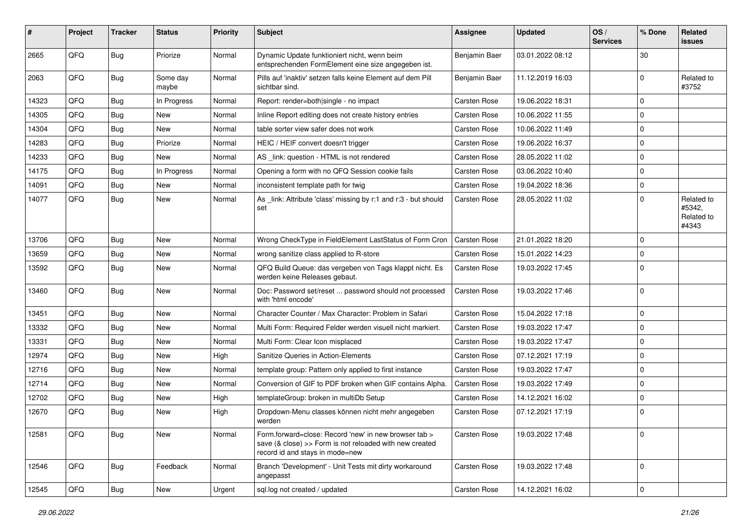| #     | Project | <b>Tracker</b> | <b>Status</b>     | <b>Priority</b> | <b>Subject</b>                                                                                                                                      | <b>Assignee</b>     | <b>Updated</b>   | OS/<br><b>Services</b> | % Done         | Related<br><b>issues</b>                    |
|-------|---------|----------------|-------------------|-----------------|-----------------------------------------------------------------------------------------------------------------------------------------------------|---------------------|------------------|------------------------|----------------|---------------------------------------------|
| 2665  | QFQ     | Bug            | Priorize          | Normal          | Dynamic Update funktioniert nicht, wenn beim<br>entsprechenden FormElement eine size angegeben ist.                                                 | Benjamin Baer       | 03.01.2022 08:12 |                        | 30             |                                             |
| 2063  | QFQ     | Bug            | Some day<br>maybe | Normal          | Pills auf 'inaktiv' setzen falls keine Element auf dem Pill<br>sichtbar sind.                                                                       | Benjamin Baer       | 11.12.2019 16:03 |                        | $\mathbf 0$    | Related to<br>#3752                         |
| 14323 | QFQ     | <b>Bug</b>     | In Progress       | Normal          | Report: render=both single - no impact                                                                                                              | Carsten Rose        | 19.06.2022 18:31 |                        | $\mathbf 0$    |                                             |
| 14305 | QFQ     | <b>Bug</b>     | New               | Normal          | Inline Report editing does not create history entries                                                                                               | <b>Carsten Rose</b> | 10.06.2022 11:55 |                        | $\pmb{0}$      |                                             |
| 14304 | QFQ     | <b>Bug</b>     | New               | Normal          | table sorter view safer does not work                                                                                                               | Carsten Rose        | 10.06.2022 11:49 |                        | $\mathbf 0$    |                                             |
| 14283 | QFQ     | <b>Bug</b>     | Priorize          | Normal          | HEIC / HEIF convert doesn't trigger                                                                                                                 | Carsten Rose        | 19.06.2022 16:37 |                        | $\mathbf 0$    |                                             |
| 14233 | QFQ     | <b>Bug</b>     | New               | Normal          | AS _link: question - HTML is not rendered                                                                                                           | Carsten Rose        | 28.05.2022 11:02 |                        | $\mathbf 0$    |                                             |
| 14175 | QFQ     | <b>Bug</b>     | In Progress       | Normal          | Opening a form with no QFQ Session cookie fails                                                                                                     | Carsten Rose        | 03.06.2022 10:40 |                        | $\mathbf 0$    |                                             |
| 14091 | QFQ     | Bug            | New               | Normal          | inconsistent template path for twig                                                                                                                 | Carsten Rose        | 19.04.2022 18:36 |                        | $\mathbf 0$    |                                             |
| 14077 | QFQ     | <b>Bug</b>     | <b>New</b>        | Normal          | As link: Attribute 'class' missing by r:1 and r:3 - but should<br>set                                                                               | <b>Carsten Rose</b> | 28.05.2022 11:02 |                        | $\mathbf 0$    | Related to<br>#5342.<br>Related to<br>#4343 |
| 13706 | QFQ     | <b>Bug</b>     | <b>New</b>        | Normal          | Wrong CheckType in FieldElement LastStatus of Form Cron                                                                                             | Carsten Rose        | 21.01.2022 18:20 |                        | $\mathbf 0$    |                                             |
| 13659 | QFQ     | <b>Bug</b>     | <b>New</b>        | Normal          | wrong sanitize class applied to R-store                                                                                                             | <b>Carsten Rose</b> | 15.01.2022 14:23 |                        | $\mathbf 0$    |                                             |
| 13592 | QFQ     | Bug            | New               | Normal          | QFQ Build Queue: das vergeben von Tags klappt nicht. Es<br>werden keine Releases gebaut.                                                            | Carsten Rose        | 19.03.2022 17:45 |                        | $\mathbf 0$    |                                             |
| 13460 | QFQ     | <b>Bug</b>     | <b>New</b>        | Normal          | Doc: Password set/reset  password should not processed<br>with 'html encode'                                                                        | Carsten Rose        | 19.03.2022 17:46 |                        | $\mathbf 0$    |                                             |
| 13451 | QFQ     | <b>Bug</b>     | New               | Normal          | Character Counter / Max Character: Problem in Safari                                                                                                | Carsten Rose        | 15.04.2022 17:18 |                        | $\mathbf 0$    |                                             |
| 13332 | QFQ     | <b>Bug</b>     | New               | Normal          | Multi Form: Required Felder werden visuell nicht markiert.                                                                                          | Carsten Rose        | 19.03.2022 17:47 |                        | $\mathbf 0$    |                                             |
| 13331 | QFQ     | <b>Bug</b>     | New               | Normal          | Multi Form: Clear Icon misplaced                                                                                                                    | Carsten Rose        | 19.03.2022 17:47 |                        | $\mathbf 0$    |                                             |
| 12974 | QFQ     | <b>Bug</b>     | <b>New</b>        | High            | Sanitize Queries in Action-Elements                                                                                                                 | <b>Carsten Rose</b> | 07.12.2021 17:19 |                        | $\mathbf 0$    |                                             |
| 12716 | QFQ     | <b>Bug</b>     | New               | Normal          | template group: Pattern only applied to first instance                                                                                              | Carsten Rose        | 19.03.2022 17:47 |                        | $\mathbf 0$    |                                             |
| 12714 | QFQ     | <b>Bug</b>     | New               | Normal          | Conversion of GIF to PDF broken when GIF contains Alpha.                                                                                            | Carsten Rose        | 19.03.2022 17:49 |                        | $\mathbf 0$    |                                             |
| 12702 | QFQ     | <b>Bug</b>     | <b>New</b>        | High            | templateGroup: broken in multiDb Setup                                                                                                              | Carsten Rose        | 14.12.2021 16:02 |                        | $\overline{0}$ |                                             |
| 12670 | QFQ     | <b>Bug</b>     | <b>New</b>        | High            | Dropdown-Menu classes können nicht mehr angegeben<br>werden                                                                                         | <b>Carsten Rose</b> | 07.12.2021 17:19 |                        | $\mathbf 0$    |                                             |
| 12581 | QFQ     | <b>Bug</b>     | New               | Normal          | Form.forward=close: Record 'new' in new browser tab ><br>save (& close) >> Form is not reloaded with new created<br>record id and stays in mode=new | Carsten Rose        | 19.03.2022 17:48 |                        | $\mathbf 0$    |                                             |
| 12546 | QFQ     | Bug            | Feedback          | Normal          | Branch 'Development' - Unit Tests mit dirty workaround<br>angepasst                                                                                 | Carsten Rose        | 19.03.2022 17:48 |                        | $\mathbf 0$    |                                             |
| 12545 | QFQ     | Bug            | New               | Urgent          | sql.log not created / updated                                                                                                                       | Carsten Rose        | 14.12.2021 16:02 |                        | $\mathbf 0$    |                                             |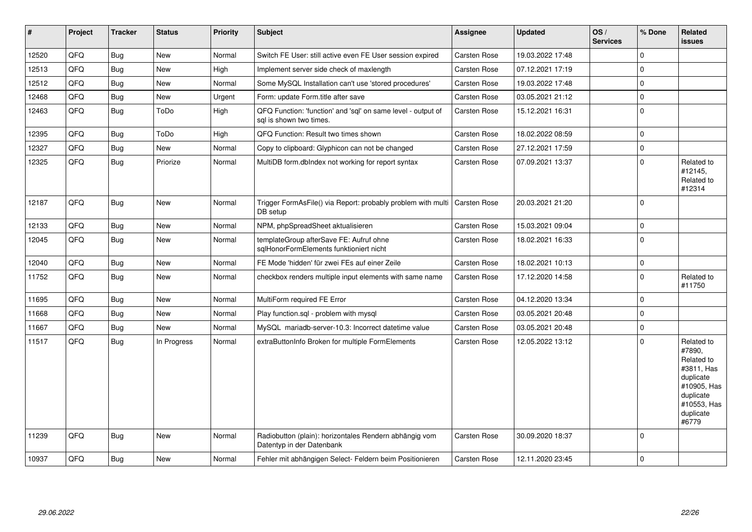| #     | Project | <b>Tracker</b> | <b>Status</b> | <b>Priority</b> | <b>Subject</b>                                                                          | <b>Assignee</b>     | <b>Updated</b>   | OS/<br><b>Services</b> | % Done       | Related<br>issues                                                                                                              |
|-------|---------|----------------|---------------|-----------------|-----------------------------------------------------------------------------------------|---------------------|------------------|------------------------|--------------|--------------------------------------------------------------------------------------------------------------------------------|
| 12520 | QFQ     | Bug            | <b>New</b>    | Normal          | Switch FE User: still active even FE User session expired                               | Carsten Rose        | 19.03.2022 17:48 |                        | $\mathbf 0$  |                                                                                                                                |
| 12513 | QFQ     | <b>Bug</b>     | <b>New</b>    | High            | Implement server side check of maxlength                                                | Carsten Rose        | 07.12.2021 17:19 |                        | $\mathbf{0}$ |                                                                                                                                |
| 12512 | QFQ     | Bug            | <b>New</b>    | Normal          | Some MySQL Installation can't use 'stored procedures'                                   | Carsten Rose        | 19.03.2022 17:48 |                        | $\pmb{0}$    |                                                                                                                                |
| 12468 | QFQ     | <b>Bug</b>     | New           | Urgent          | Form: update Form.title after save                                                      | Carsten Rose        | 03.05.2021 21:12 |                        | $\mathbf 0$  |                                                                                                                                |
| 12463 | QFQ     | <b>Bug</b>     | ToDo          | High            | QFQ Function: 'function' and 'sql' on same level - output of<br>sal is shown two times. | Carsten Rose        | 15.12.2021 16:31 |                        | $\mathbf 0$  |                                                                                                                                |
| 12395 | QFQ     | <b>Bug</b>     | ToDo          | High            | QFQ Function: Result two times shown                                                    | <b>Carsten Rose</b> | 18.02.2022 08:59 |                        | $\pmb{0}$    |                                                                                                                                |
| 12327 | QFQ     | <b>Bug</b>     | <b>New</b>    | Normal          | Copy to clipboard: Glyphicon can not be changed                                         | Carsten Rose        | 27.12.2021 17:59 |                        | $\pmb{0}$    |                                                                                                                                |
| 12325 | QFQ     | <b>Bug</b>     | Priorize      | Normal          | MultiDB form.dblndex not working for report syntax                                      | Carsten Rose        | 07.09.2021 13:37 |                        | $\Omega$     | Related to<br>#12145,<br>Related to<br>#12314                                                                                  |
| 12187 | QFQ     | <b>Bug</b>     | <b>New</b>    | Normal          | Trigger FormAsFile() via Report: probably problem with multi<br>DB setup                | Carsten Rose        | 20.03.2021 21:20 |                        | $\mathbf 0$  |                                                                                                                                |
| 12133 | QFQ     | <b>Bug</b>     | <b>New</b>    | Normal          | NPM, phpSpreadSheet aktualisieren                                                       | Carsten Rose        | 15.03.2021 09:04 |                        | $\Omega$     |                                                                                                                                |
| 12045 | QFQ     | <b>Bug</b>     | <b>New</b>    | Normal          | templateGroup afterSave FE: Aufruf ohne<br>sqlHonorFormElements funktioniert nicht      | Carsten Rose        | 18.02.2021 16:33 |                        | $\mathbf 0$  |                                                                                                                                |
| 12040 | QFQ     | <b>Bug</b>     | New           | Normal          | FE Mode 'hidden' für zwei FEs auf einer Zeile                                           | Carsten Rose        | 18.02.2021 10:13 |                        | $\pmb{0}$    |                                                                                                                                |
| 11752 | QFQ     | <b>Bug</b>     | New           | Normal          | checkbox renders multiple input elements with same name                                 | Carsten Rose        | 17.12.2020 14:58 |                        | $\mathbf 0$  | Related to<br>#11750                                                                                                           |
| 11695 | QFQ     | <b>Bug</b>     | <b>New</b>    | Normal          | MultiForm required FE Error                                                             | Carsten Rose        | 04.12.2020 13:34 |                        | $\mathbf 0$  |                                                                                                                                |
| 11668 | QFQ     | Bug            | <b>New</b>    | Normal          | Play function.sql - problem with mysql                                                  | Carsten Rose        | 03.05.2021 20:48 |                        | $\mathbf{0}$ |                                                                                                                                |
| 11667 | QFQ     | <b>Bug</b>     | <b>New</b>    | Normal          | MySQL mariadb-server-10.3: Incorrect datetime value                                     | Carsten Rose        | 03.05.2021 20:48 |                        | $\mathbf{0}$ |                                                                                                                                |
| 11517 | QFQ     | <b>Bug</b>     | In Progress   | Normal          | extraButtonInfo Broken for multiple FormElements                                        | Carsten Rose        | 12.05.2022 13:12 |                        | $\mathbf 0$  | Related to<br>#7890.<br>Related to<br>#3811, Has<br>duplicate<br>#10905, Has<br>duplicate<br>#10553, Has<br>duplicate<br>#6779 |
| 11239 | QFQ     | Bug            | <b>New</b>    | Normal          | Radiobutton (plain): horizontales Rendern abhängig vom<br>Datentyp in der Datenbank     | Carsten Rose        | 30.09.2020 18:37 |                        | $\mathbf 0$  |                                                                                                                                |
| 10937 | QFQ     | <b>Bug</b>     | <b>New</b>    | Normal          | Fehler mit abhängigen Select- Feldern beim Positionieren                                | Carsten Rose        | 12.11.2020 23:45 |                        | $\mathbf 0$  |                                                                                                                                |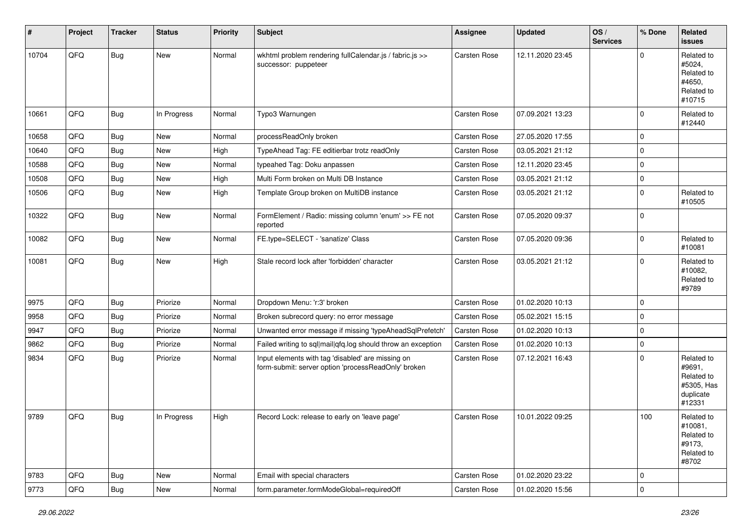| #     | Project | <b>Tracker</b> | <b>Status</b> | <b>Priority</b> | <b>Subject</b>                                                                                           | <b>Assignee</b>     | <b>Updated</b>   | OS/<br><b>Services</b> | % Done      | Related<br>issues                                                       |
|-------|---------|----------------|---------------|-----------------|----------------------------------------------------------------------------------------------------------|---------------------|------------------|------------------------|-------------|-------------------------------------------------------------------------|
| 10704 | QFQ     | Bug            | New           | Normal          | wkhtml problem rendering fullCalendar.js / fabric.js >><br>successor: puppeteer                          | Carsten Rose        | 12.11.2020 23:45 |                        | $\mathbf 0$ | Related to<br>#5024,<br>Related to<br>#4650,<br>Related to<br>#10715    |
| 10661 | QFQ     | Bug            | In Progress   | Normal          | Typo3 Warnungen                                                                                          | <b>Carsten Rose</b> | 07.09.2021 13:23 |                        | 0           | Related to<br>#12440                                                    |
| 10658 | QFQ     | Bug            | New           | Normal          | processReadOnly broken                                                                                   | Carsten Rose        | 27.05.2020 17:55 |                        | 0           |                                                                         |
| 10640 | QFQ     | Bug            | New           | High            | TypeAhead Tag: FE editierbar trotz readOnly                                                              | Carsten Rose        | 03.05.2021 21:12 |                        | 0           |                                                                         |
| 10588 | QFQ     | Bug            | New           | Normal          | typeahed Tag: Doku anpassen                                                                              | Carsten Rose        | 12.11.2020 23:45 |                        | 0           |                                                                         |
| 10508 | QFQ     | Bug            | New           | High            | Multi Form broken on Multi DB Instance                                                                   | Carsten Rose        | 03.05.2021 21:12 |                        | $\mathbf 0$ |                                                                         |
| 10506 | QFQ     | <b>Bug</b>     | New           | High            | Template Group broken on MultiDB instance                                                                | Carsten Rose        | 03.05.2021 21:12 |                        | 0           | Related to<br>#10505                                                    |
| 10322 | QFQ     | Bug            | <b>New</b>    | Normal          | FormElement / Radio: missing column 'enum' >> FE not<br>reported                                         | Carsten Rose        | 07.05.2020 09:37 |                        | $\mathbf 0$ |                                                                         |
| 10082 | QFQ     | <b>Bug</b>     | New           | Normal          | FE.type=SELECT - 'sanatize' Class                                                                        | Carsten Rose        | 07.05.2020 09:36 |                        | 0           | Related to<br>#10081                                                    |
| 10081 | QFQ     | Bug            | New           | High            | Stale record lock after 'forbidden' character                                                            | <b>Carsten Rose</b> | 03.05.2021 21:12 |                        | 0           | Related to<br>#10082,<br>Related to<br>#9789                            |
| 9975  | QFQ     | Bug            | Priorize      | Normal          | Dropdown Menu: 'r:3' broken                                                                              | <b>Carsten Rose</b> | 01.02.2020 10:13 |                        | $\mathbf 0$ |                                                                         |
| 9958  | QFQ     | <b>Bug</b>     | Priorize      | Normal          | Broken subrecord query: no error message                                                                 | Carsten Rose        | 05.02.2021 15:15 |                        | 0           |                                                                         |
| 9947  | QFQ     | <b>Bug</b>     | Priorize      | Normal          | Unwanted error message if missing 'typeAheadSqlPrefetch'                                                 | Carsten Rose        | 01.02.2020 10:13 |                        | $\Omega$    |                                                                         |
| 9862  | QFQ     | Bug            | Priorize      | Normal          | Failed writing to sql mail qfq.log should throw an exception                                             | Carsten Rose        | 01.02.2020 10:13 |                        | 0           |                                                                         |
| 9834  | QFQ     | Bug            | Priorize      | Normal          | Input elements with tag 'disabled' are missing on<br>form-submit: server option 'processReadOnly' broken | Carsten Rose        | 07.12.2021 16:43 |                        | $\Omega$    | Related to<br>#9691,<br>Related to<br>#5305, Has<br>duplicate<br>#12331 |
| 9789  | QFQ     | <b>Bug</b>     | In Progress   | High            | Record Lock: release to early on 'leave page'                                                            | <b>Carsten Rose</b> | 10.01.2022 09:25 |                        | 100         | Related to<br>#10081,<br>Related to<br>#9173,<br>Related to<br>#8702    |
| 9783  | QFQ     | Bug            | New           | Normal          | Email with special characters                                                                            | Carsten Rose        | 01.02.2020 23:22 |                        | 0           |                                                                         |
| 9773  | QFQ     | Bug            | New           | Normal          | form.parameter.formModeGlobal=requiredOff                                                                | Carsten Rose        | 01.02.2020 15:56 |                        | $\pmb{0}$   |                                                                         |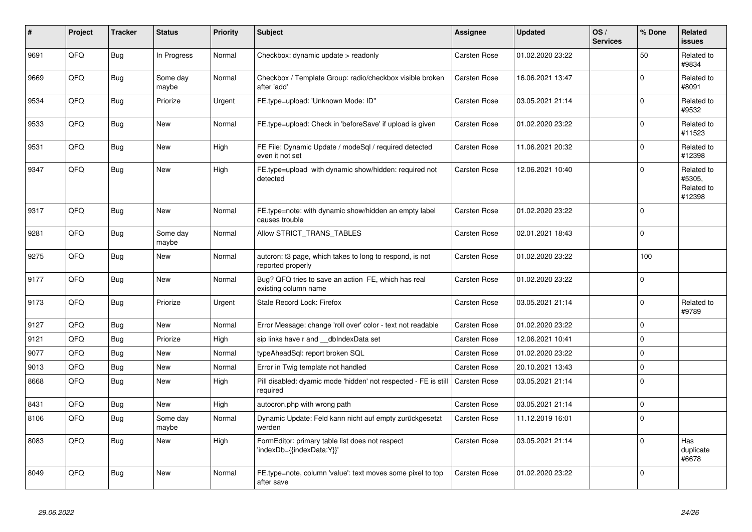| #    | Project | <b>Tracker</b> | <b>Status</b>     | <b>Priority</b> | <b>Subject</b>                                                                | Assignee            | <b>Updated</b>   | OS/<br><b>Services</b> | % Done      | Related<br><b>issues</b>                     |
|------|---------|----------------|-------------------|-----------------|-------------------------------------------------------------------------------|---------------------|------------------|------------------------|-------------|----------------------------------------------|
| 9691 | QFQ     | <b>Bug</b>     | In Progress       | Normal          | Checkbox: dynamic update > readonly                                           | Carsten Rose        | 01.02.2020 23:22 |                        | 50          | Related to<br>#9834                          |
| 9669 | QFQ     | <b>Bug</b>     | Some day<br>maybe | Normal          | Checkbox / Template Group: radio/checkbox visible broken<br>after 'add'       | Carsten Rose        | 16.06.2021 13:47 |                        | $\mathbf 0$ | Related to<br>#8091                          |
| 9534 | QFQ     | Bug            | Priorize          | Urgent          | FE.type=upload: 'Unknown Mode: ID"                                            | Carsten Rose        | 03.05.2021 21:14 |                        | $\Omega$    | Related to<br>#9532                          |
| 9533 | QFQ     | <b>Bug</b>     | New               | Normal          | FE.type=upload: Check in 'beforeSave' if upload is given                      | Carsten Rose        | 01.02.2020 23:22 |                        | $\Omega$    | Related to<br>#11523                         |
| 9531 | QFQ     | <b>Bug</b>     | <b>New</b>        | High            | FE File: Dynamic Update / modeSql / required detected<br>even it not set      | Carsten Rose        | 11.06.2021 20:32 |                        | $\Omega$    | Related to<br>#12398                         |
| 9347 | QFQ     | <b>Bug</b>     | <b>New</b>        | High            | FE.type=upload with dynamic show/hidden: required not<br>detected             | Carsten Rose        | 12.06.2021 10:40 |                        | $\Omega$    | Related to<br>#5305,<br>Related to<br>#12398 |
| 9317 | QFQ     | Bug            | <b>New</b>        | Normal          | FE.type=note: with dynamic show/hidden an empty label<br>causes trouble       | Carsten Rose        | 01.02.2020 23:22 |                        | $\Omega$    |                                              |
| 9281 | QFQ     | <b>Bug</b>     | Some day<br>maybe | Normal          | Allow STRICT_TRANS_TABLES                                                     | Carsten Rose        | 02.01.2021 18:43 |                        | $\mathbf 0$ |                                              |
| 9275 | QFQ     | Bug            | <b>New</b>        | Normal          | auteron: t3 page, which takes to long to respond, is not<br>reported properly | Carsten Rose        | 01.02.2020 23:22 |                        | 100         |                                              |
| 9177 | QFQ     | <b>Bug</b>     | New               | Normal          | Bug? QFQ tries to save an action FE, which has real<br>existing column name   | Carsten Rose        | 01.02.2020 23:22 |                        | $\Omega$    |                                              |
| 9173 | QFQ     | Bug            | Priorize          | Urgent          | Stale Record Lock: Firefox                                                    | Carsten Rose        | 03.05.2021 21:14 |                        | $\mathbf 0$ | Related to<br>#9789                          |
| 9127 | QFQ     | Bug            | <b>New</b>        | Normal          | Error Message: change 'roll over' color - text not readable                   | Carsten Rose        | 01.02.2020 23:22 |                        | $\mathbf 0$ |                                              |
| 9121 | QFQ     | Bug            | Priorize          | High            | sip links have r and dblndexData set                                          | Carsten Rose        | 12.06.2021 10:41 |                        | $\mathbf 0$ |                                              |
| 9077 | QFQ     | <b>Bug</b>     | <b>New</b>        | Normal          | typeAheadSql: report broken SQL                                               | Carsten Rose        | 01.02.2020 23:22 |                        | $\Omega$    |                                              |
| 9013 | QFQ     | <b>Bug</b>     | <b>New</b>        | Normal          | Error in Twig template not handled                                            | Carsten Rose        | 20.10.2021 13:43 |                        | $\mathbf 0$ |                                              |
| 8668 | QFQ     | Bug            | <b>New</b>        | High            | Pill disabled: dyamic mode 'hidden' not respected - FE is still<br>required   | <b>Carsten Rose</b> | 03.05.2021 21:14 |                        | $\Omega$    |                                              |
| 8431 | QFQ     | <b>Bug</b>     | <b>New</b>        | High            | autocron.php with wrong path                                                  | Carsten Rose        | 03.05.2021 21:14 |                        | $\Omega$    |                                              |
| 8106 | QFQ     | <b>Bug</b>     | Some day<br>maybe | Normal          | Dynamic Update: Feld kann nicht auf empty zurückgesetzt<br>werden             | Carsten Rose        | 11.12.2019 16:01 |                        | $\Omega$    |                                              |
| 8083 | QFQ     | <b>Bug</b>     | New               | High            | FormEditor: primary table list does not respect<br>'indexDb={{indexData:Y}}'  | Carsten Rose        | 03.05.2021 21:14 |                        | $\Omega$    | Has<br>duplicate<br>#6678                    |
| 8049 | QFQ     | Bug            | <b>New</b>        | Normal          | FE.type=note, column 'value': text moves some pixel to top<br>after save      | Carsten Rose        | 01.02.2020 23:22 |                        | $\Omega$    |                                              |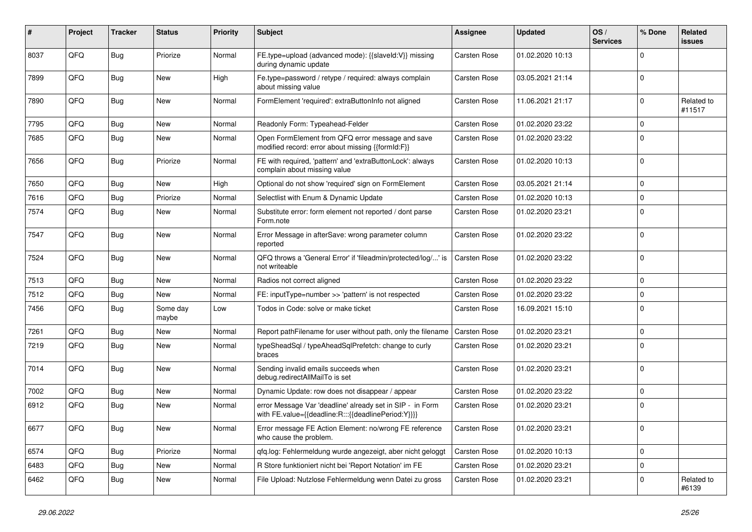| #    | Project | <b>Tracker</b> | <b>Status</b>     | <b>Priority</b> | <b>Subject</b>                                                                                                   | Assignee     | <b>Updated</b>   | OS/<br><b>Services</b> | % Done         | Related<br><b>issues</b> |
|------|---------|----------------|-------------------|-----------------|------------------------------------------------------------------------------------------------------------------|--------------|------------------|------------------------|----------------|--------------------------|
| 8037 | QFQ     | Bug            | Priorize          | Normal          | FE.type=upload (advanced mode): {{slaveId:V}} missing<br>during dynamic update                                   | Carsten Rose | 01.02.2020 10:13 |                        | $\Omega$       |                          |
| 7899 | QFQ     | Bug            | New               | High            | Fe.type=password / retype / required: always complain<br>about missing value                                     | Carsten Rose | 03.05.2021 21:14 |                        | $\Omega$       |                          |
| 7890 | QFQ     | Bug            | New               | Normal          | FormElement 'required': extraButtonInfo not aligned                                                              | Carsten Rose | 11.06.2021 21:17 |                        | $\Omega$       | Related to<br>#11517     |
| 7795 | QFQ     | Bug            | New               | Normal          | Readonly Form: Typeahead-Felder                                                                                  | Carsten Rose | 01.02.2020 23:22 |                        | $\mathbf{0}$   |                          |
| 7685 | QFQ     | Bug            | New               | Normal          | Open FormElement from QFQ error message and save<br>modified record: error about missing {{formId:F}}            | Carsten Rose | 01.02.2020 23:22 |                        | $\Omega$       |                          |
| 7656 | QFQ     | Bug            | Priorize          | Normal          | FE with required, 'pattern' and 'extraButtonLock': always<br>complain about missing value                        | Carsten Rose | 01.02.2020 10:13 |                        | $\mathbf 0$    |                          |
| 7650 | QFQ     | Bug            | New               | High            | Optional do not show 'required' sign on FormElement                                                              | Carsten Rose | 03.05.2021 21:14 |                        | $\mathbf 0$    |                          |
| 7616 | QFQ     | Bug            | Priorize          | Normal          | Selectlist with Enum & Dynamic Update                                                                            | Carsten Rose | 01.02.2020 10:13 |                        | $\mathbf{0}$   |                          |
| 7574 | QFQ     | Bug            | New               | Normal          | Substitute error: form element not reported / dont parse<br>Form.note                                            | Carsten Rose | 01.02.2020 23:21 |                        | $\mathbf 0$    |                          |
| 7547 | QFQ     | Bug            | New               | Normal          | Error Message in afterSave: wrong parameter column<br>reported                                                   | Carsten Rose | 01.02.2020 23:22 |                        | $\Omega$       |                          |
| 7524 | QFQ     | Bug            | New               | Normal          | QFQ throws a 'General Error' if 'fileadmin/protected/log/' is<br>not writeable                                   | Carsten Rose | 01.02.2020 23:22 |                        | $\mathbf 0$    |                          |
| 7513 | QFQ     | <b>Bug</b>     | <b>New</b>        | Normal          | Radios not correct aligned                                                                                       | Carsten Rose | 01.02.2020 23:22 |                        | $\mathbf 0$    |                          |
| 7512 | QFQ     | Bug            | New               | Normal          | FE: inputType=number >> 'pattern' is not respected                                                               | Carsten Rose | 01.02.2020 23:22 |                        | $\mathbf 0$    |                          |
| 7456 | QFQ     | Bug            | Some day<br>maybe | Low             | Todos in Code: solve or make ticket                                                                              | Carsten Rose | 16.09.2021 15:10 |                        | $\Omega$       |                          |
| 7261 | QFQ     | Bug            | New               | Normal          | Report pathFilename for user without path, only the filename                                                     | Carsten Rose | 01.02.2020 23:21 |                        | $\mathbf 0$    |                          |
| 7219 | QFQ     | Bug            | New               | Normal          | typeSheadSql / typeAheadSqlPrefetch: change to curly<br>braces                                                   | Carsten Rose | 01.02.2020 23:21 |                        | $\mathbf 0$    |                          |
| 7014 | QFQ     | Bug            | New               | Normal          | Sending invalid emails succeeds when<br>debug.redirectAllMailTo is set                                           | Carsten Rose | 01.02.2020 23:21 |                        | $\Omega$       |                          |
| 7002 | QFQ     | Bug            | New               | Normal          | Dynamic Update: row does not disappear / appear                                                                  | Carsten Rose | 01.02.2020 23:22 |                        | $\mathbf 0$    |                          |
| 6912 | QFQ     | Bug            | <b>New</b>        | Normal          | error Message Var 'deadline' already set in SIP - in Form<br>with FE.value={{deadline:R:::{{deadlinePeriod:Y}}}} | Carsten Rose | 01.02.2020 23:21 |                        | $\Omega$       |                          |
| 6677 | QFQ     | Bug            | New               | Normal          | Error message FE Action Element: no/wrong FE reference<br>who cause the problem.                                 | Carsten Rose | 01.02.2020 23:21 |                        | $\overline{0}$ |                          |
| 6574 | QFQ     | Bug            | Priorize          | Normal          | qfq.log: Fehlermeldung wurde angezeigt, aber nicht geloggt                                                       | Carsten Rose | 01.02.2020 10:13 |                        | $\mathbf 0$    |                          |
| 6483 | QFQ     | <b>Bug</b>     | New               | Normal          | R Store funktioniert nicht bei 'Report Notation' im FE                                                           | Carsten Rose | 01.02.2020 23:21 |                        | $\Omega$       |                          |
| 6462 | QFQ     | Bug            | New               | Normal          | File Upload: Nutzlose Fehlermeldung wenn Datei zu gross                                                          | Carsten Rose | 01.02.2020 23:21 |                        | 0              | Related to<br>#6139      |